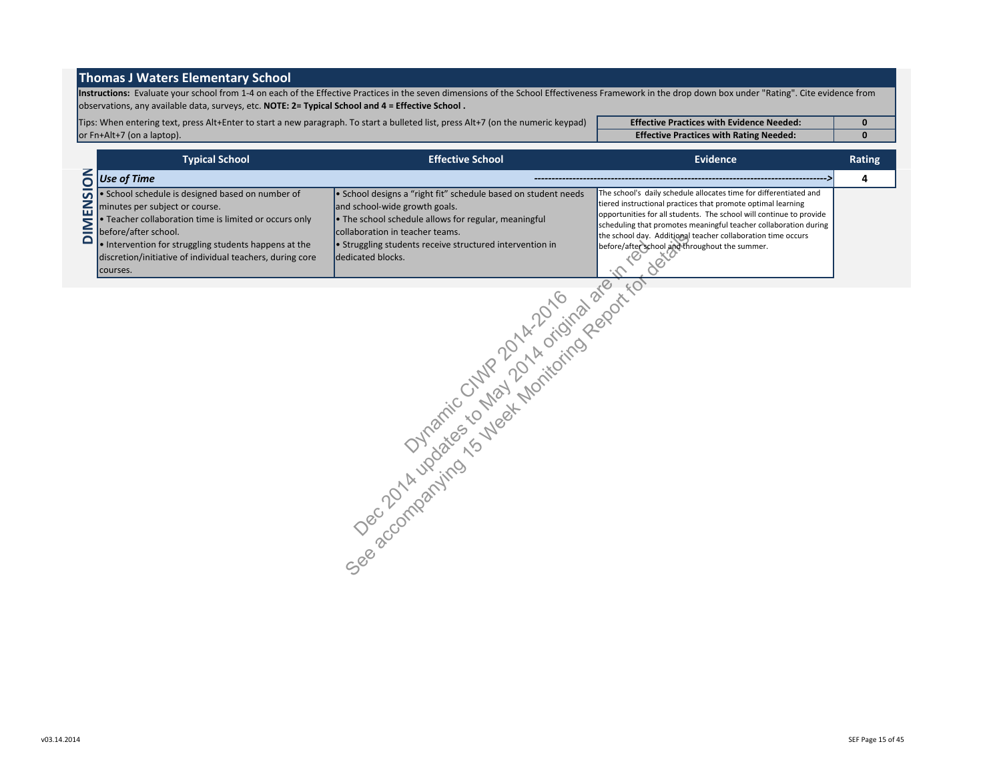|                  | <b>Thomas J Waters Elementary School</b>                                                          |                                                                                                                                   |                                                                                                                                                                                                      |          |  |  |  |  |  |
|------------------|---------------------------------------------------------------------------------------------------|-----------------------------------------------------------------------------------------------------------------------------------|------------------------------------------------------------------------------------------------------------------------------------------------------------------------------------------------------|----------|--|--|--|--|--|
|                  |                                                                                                   |                                                                                                                                   | Instructions: Evaluate your school from 1-4 on each of the Effective Practices in the seven dimensions of the School Effectiveness Framework in the drop down box under "Rating". Cite evidence from |          |  |  |  |  |  |
|                  |                                                                                                   |                                                                                                                                   |                                                                                                                                                                                                      |          |  |  |  |  |  |
|                  | observations, any available data, surveys, etc. NOTE: 2= Typical School and 4 = Effective School. |                                                                                                                                   |                                                                                                                                                                                                      |          |  |  |  |  |  |
|                  |                                                                                                   | Tips: When entering text, press Alt+Enter to start a new paragraph. To start a bulleted list, press Alt+7 (on the numeric keypad) | <b>Effective Practices with Evidence Needed:</b>                                                                                                                                                     | $\bf{0}$ |  |  |  |  |  |
|                  | or Fn+Alt+7 (on a laptop).                                                                        |                                                                                                                                   | <b>Effective Practices with Rating Needed:</b>                                                                                                                                                       | $\bf{0}$ |  |  |  |  |  |
|                  | <b>Typical School</b>                                                                             | <b>Effective School</b>                                                                                                           | Evidence                                                                                                                                                                                             | Rating   |  |  |  |  |  |
|                  | <b>Use of Time</b>                                                                                |                                                                                                                                   |                                                                                                                                                                                                      | 4        |  |  |  |  |  |
|                  | · School schedule is designed based on number of                                                  | • School designs a "right fit" schedule based on student needs                                                                    | The school's daily schedule allocates time for differentiated and<br>tiered instructional practices that promote optimal learning                                                                    |          |  |  |  |  |  |
|                  | minutes per subject or course.                                                                    | and school-wide growth goals.                                                                                                     | opportunities for all students. The school will continue to provide                                                                                                                                  |          |  |  |  |  |  |
|                  | • Teacher collaboration time is limited or occurs only<br>before/after school.                    | • The school schedule allows for regular, meaningful<br>collaboration in teacher teams.                                           | scheduling that promotes meaningful teacher collaboration during                                                                                                                                     |          |  |  |  |  |  |
| <b>DIMENSION</b> | • Intervention for struggling students happens at the                                             | • Struggling students receive structured intervention in                                                                          | the school day. Additional teacher collaboration time occurs                                                                                                                                         |          |  |  |  |  |  |
|                  | discretion/initiative of individual teachers, during core                                         | Idedicated blocks.                                                                                                                | before/after school and throughout the summer.                                                                                                                                                       |          |  |  |  |  |  |

Outpartic Cityle 2014-2016 Decoration in the three structured intervention in the show of the behold are structured intervention in the forest structured intervention in the forest structured intervention in the forest structured intervention in the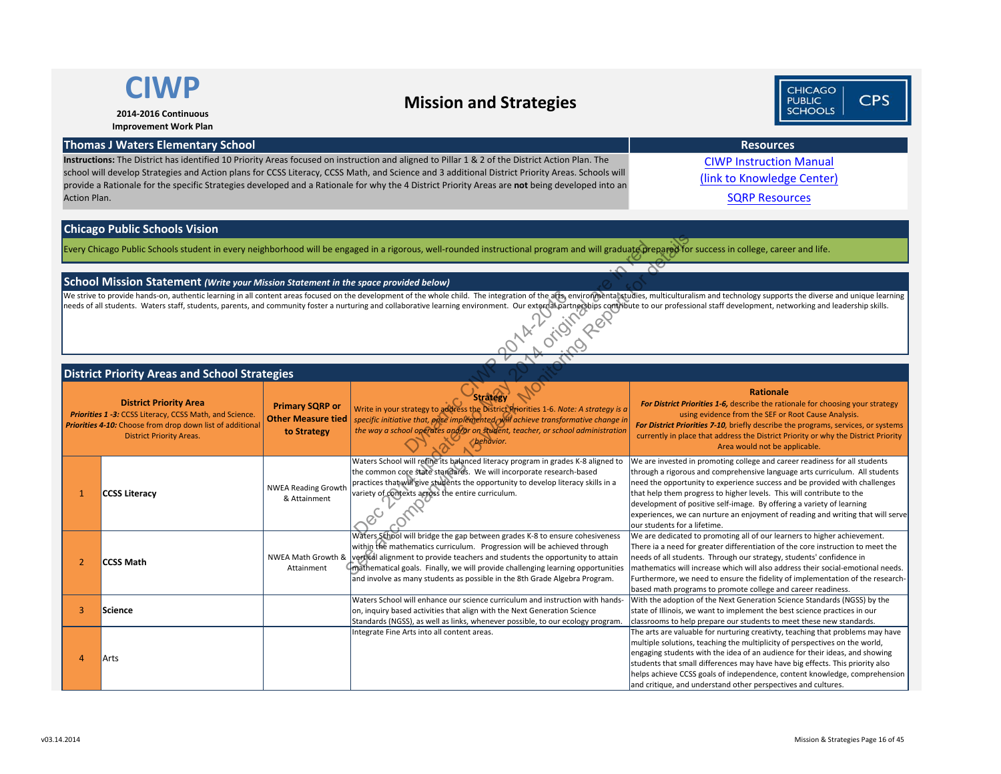# **CIWP**

## **Mission and Strategies**

**CHICAGO CPS PUBLIC SCHOOLS** 

**2014-2016 Continuous Improvement Work Plan**

#### **Thomas J Waters Elementary School**

**Instructions:** The District has identified 10 Priority Areas focused on instruction and aligned to Pillar 1 & 2 of the District Action Plan. The school will develop Strategies and Action plans for CCSS Literacy, CCSS Math, and Science and 3 additional District Priority Areas. Schools will provide a Rationale for the specific Strategies developed and a Rationale for why the 4 District Priority Areas are not being developed into an **Action Plan.** 

### **Resources**

**CIWP Instruction Manual** (link to Knowledge Center)

**SQRP Resources** 

### **Chicago Public Schools Vision**

#### **School Mission Statement** (Write your Mission Statement in the space provided below)

|  |  | District Priority Areas and School Strategies |
|--|--|-----------------------------------------------|
|--|--|-----------------------------------------------|

| Every Chicago Public Schools student in every neighborhood will be engaged in a rigorous, well-rounded instructional program and will graduate prepared for success in college, career and life. |                                                                                                                                                                                                                                |                            |                                                                                                                                                                                                                                |                                                                                                                                          |  |  |  |  |  |
|--------------------------------------------------------------------------------------------------------------------------------------------------------------------------------------------------|--------------------------------------------------------------------------------------------------------------------------------------------------------------------------------------------------------------------------------|----------------------------|--------------------------------------------------------------------------------------------------------------------------------------------------------------------------------------------------------------------------------|------------------------------------------------------------------------------------------------------------------------------------------|--|--|--|--|--|
| $\aleph$<br>$\widehat{\phantom{a}}$                                                                                                                                                              |                                                                                                                                                                                                                                |                            |                                                                                                                                                                                                                                |                                                                                                                                          |  |  |  |  |  |
|                                                                                                                                                                                                  | School Mission Statement (Write your Mission Statement in the space provided below)                                                                                                                                            |                            |                                                                                                                                                                                                                                |                                                                                                                                          |  |  |  |  |  |
|                                                                                                                                                                                                  |                                                                                                                                                                                                                                |                            | We strive to provide hands-on, authentic learning in all content areas focused on the development of the whole child. The integration of the afts, environmental studies, multiculturalism and technology supports the diverse |                                                                                                                                          |  |  |  |  |  |
|                                                                                                                                                                                                  |                                                                                                                                                                                                                                |                            |                                                                                                                                                                                                                                |                                                                                                                                          |  |  |  |  |  |
|                                                                                                                                                                                                  | needs of all students. Waters staff, students, parents, and community foster a nurturing and collaborative learning environment. Our extendary partnerships complibute to our professional staff development, networking and l |                            |                                                                                                                                                                                                                                |                                                                                                                                          |  |  |  |  |  |
|                                                                                                                                                                                                  |                                                                                                                                                                                                                                |                            |                                                                                                                                                                                                                                |                                                                                                                                          |  |  |  |  |  |
|                                                                                                                                                                                                  |                                                                                                                                                                                                                                |                            |                                                                                                                                                                                                                                |                                                                                                                                          |  |  |  |  |  |
|                                                                                                                                                                                                  | <b>District Priority Areas and School Strategies</b>                                                                                                                                                                           |                            |                                                                                                                                                                                                                                |                                                                                                                                          |  |  |  |  |  |
|                                                                                                                                                                                                  |                                                                                                                                                                                                                                |                            |                                                                                                                                                                                                                                | <b>Rationale</b>                                                                                                                         |  |  |  |  |  |
|                                                                                                                                                                                                  | <b>District Priority Area</b>                                                                                                                                                                                                  |                            | <b>Strategy</b>                                                                                                                                                                                                                | For District Priorities 1-6, describe the rationale for choosing your strategy                                                           |  |  |  |  |  |
|                                                                                                                                                                                                  | Priorities 1 -3: CCSS Literacy, CCSS Math, and Science.                                                                                                                                                                        | <b>Primary SQRP or</b>     | Write in your strategy to address the District Priorities 1-6. Note: A strategy is a                                                                                                                                           | using evidence from the SEF or Root Cause Analysis.                                                                                      |  |  |  |  |  |
|                                                                                                                                                                                                  | Priorities 4-10: Choose from drop down list of additional                                                                                                                                                                      | <b>Other Measure tied</b>  | specific initiative that, once implemented, will achieve transformative change in                                                                                                                                              | For District Priorities 7-10, briefly describe the programs, services, or systems                                                        |  |  |  |  |  |
|                                                                                                                                                                                                  | <b>District Priority Areas.</b>                                                                                                                                                                                                | to Strategy                | the way a school operates and/or on student, teacher, or school administration                                                                                                                                                 | currently in place that address the District Priority or why the District Priority                                                       |  |  |  |  |  |
|                                                                                                                                                                                                  |                                                                                                                                                                                                                                |                            | behavior.                                                                                                                                                                                                                      | Area would not be applicable.                                                                                                            |  |  |  |  |  |
|                                                                                                                                                                                                  |                                                                                                                                                                                                                                |                            | Waters School will retine its balanced literacy program in grades K-8 aligned to                                                                                                                                               | We are invested in promoting college and career readiness for all students                                                               |  |  |  |  |  |
|                                                                                                                                                                                                  |                                                                                                                                                                                                                                |                            | the common core state standards. We will incorporate research-based                                                                                                                                                            | through a rigorous and comprehensive language arts curriculum. All students                                                              |  |  |  |  |  |
|                                                                                                                                                                                                  |                                                                                                                                                                                                                                | <b>NWEA Reading Growth</b> | practices that will give students the opportunity to develop literacy skills in a                                                                                                                                              | need the opportunity to experience success and be provided with challenges                                                               |  |  |  |  |  |
|                                                                                                                                                                                                  | <b>CCSS Literacy</b>                                                                                                                                                                                                           |                            | variety of contexts across the entire curriculum.                                                                                                                                                                              | that help them progress to higher levels. This will contribute to the                                                                    |  |  |  |  |  |
|                                                                                                                                                                                                  |                                                                                                                                                                                                                                | & Attainment               |                                                                                                                                                                                                                                | development of positive self-image. By offering a variety of learning                                                                    |  |  |  |  |  |
|                                                                                                                                                                                                  |                                                                                                                                                                                                                                |                            |                                                                                                                                                                                                                                | experiences, we can nurture an enjoyment of reading and writing that will serve                                                          |  |  |  |  |  |
|                                                                                                                                                                                                  |                                                                                                                                                                                                                                |                            |                                                                                                                                                                                                                                | our students for a lifetime.                                                                                                             |  |  |  |  |  |
|                                                                                                                                                                                                  |                                                                                                                                                                                                                                |                            | Waters School will bridge the gap between grades K-8 to ensure cohesiveness                                                                                                                                                    | We are dedicated to promoting all of our learners to higher achievement.                                                                 |  |  |  |  |  |
|                                                                                                                                                                                                  |                                                                                                                                                                                                                                |                            | within the mathematics curriculum. Progression will be achieved through                                                                                                                                                        | There ia a need for greater differentiation of the core instruction to meet the                                                          |  |  |  |  |  |
|                                                                                                                                                                                                  | <b>CCSS Math</b>                                                                                                                                                                                                               | NWEA Math Growth &         | vertical alignment to provide teachers and students the opportunity to attain                                                                                                                                                  | needs of all students. Through our strategy, students' confidence in                                                                     |  |  |  |  |  |
|                                                                                                                                                                                                  |                                                                                                                                                                                                                                | Attainment                 | mathematical goals. Finally, we will provide challenging learning opportunities                                                                                                                                                | mathematics will increase which will also address their social-emotional needs.                                                          |  |  |  |  |  |
|                                                                                                                                                                                                  |                                                                                                                                                                                                                                |                            | and involve as many students as possible in the 8th Grade Algebra Program.                                                                                                                                                     | Furthermore, we need to ensure the fidelity of implementation of the research-                                                           |  |  |  |  |  |
|                                                                                                                                                                                                  |                                                                                                                                                                                                                                |                            | Waters School will enhance our science curriculum and instruction with hands-                                                                                                                                                  | based math programs to promote college and career readiness.<br>With the adoption of the Next Generation Science Standards (NGSS) by the |  |  |  |  |  |
| 3                                                                                                                                                                                                | Science                                                                                                                                                                                                                        |                            | on, inquiry based activities that align with the Next Generation Science                                                                                                                                                       | state of Illinois, we want to implement the best science practices in our                                                                |  |  |  |  |  |
|                                                                                                                                                                                                  |                                                                                                                                                                                                                                |                            | Standards (NGSS), as well as links, whenever possible, to our ecology program.                                                                                                                                                 | classrooms to help prepare our students to meet these new standards.                                                                     |  |  |  |  |  |
|                                                                                                                                                                                                  |                                                                                                                                                                                                                                |                            | Integrate Fine Arts into all content areas.                                                                                                                                                                                    | The arts are valuable for nurturing creativty, teaching that problems may have                                                           |  |  |  |  |  |
|                                                                                                                                                                                                  |                                                                                                                                                                                                                                |                            |                                                                                                                                                                                                                                | multiple solutions, teaching the multiplicity of perspectives on the world,                                                              |  |  |  |  |  |
|                                                                                                                                                                                                  |                                                                                                                                                                                                                                |                            |                                                                                                                                                                                                                                | engaging students with the idea of an audience for their ideas, and showing                                                              |  |  |  |  |  |
| Δ                                                                                                                                                                                                | Arts                                                                                                                                                                                                                           |                            |                                                                                                                                                                                                                                | students that small differences may have have big effects. This priority also                                                            |  |  |  |  |  |
|                                                                                                                                                                                                  |                                                                                                                                                                                                                                |                            |                                                                                                                                                                                                                                | helps achieve CCSS goals of independence, content knowledge, comprehension                                                               |  |  |  |  |  |
|                                                                                                                                                                                                  |                                                                                                                                                                                                                                |                            |                                                                                                                                                                                                                                | and critique, and understand other perspectives and cultures.                                                                            |  |  |  |  |  |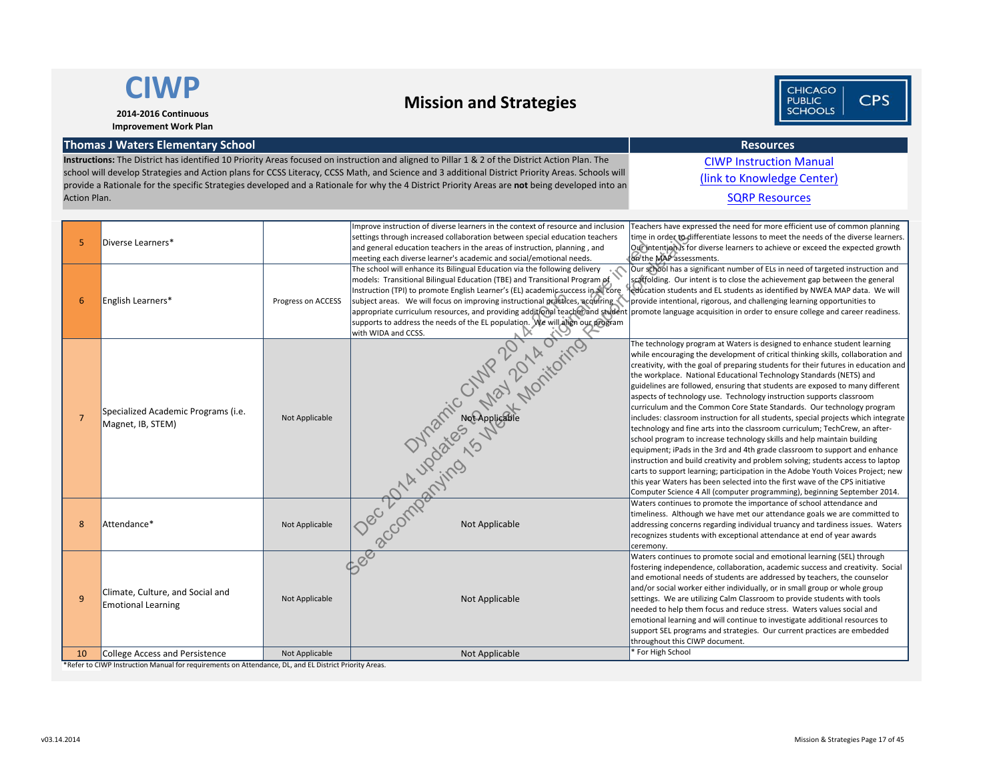|                     | <b>CIMP</b>                                                   |                    | <b>Mission and Strategies</b>                                                                                                                                                                                                                                                                                                                                                                                                                                                                                                                                                 | <b>CHICAGO</b><br><b>CPS</b><br><b>PUBLIC</b>                                                                                                                                                                                                                                                                                                                                                                                                                                                                                                                                                                                                                                                                                                                                                                                                                                                                                                                                                                                                                                                                                                                                                                                |
|---------------------|---------------------------------------------------------------|--------------------|-------------------------------------------------------------------------------------------------------------------------------------------------------------------------------------------------------------------------------------------------------------------------------------------------------------------------------------------------------------------------------------------------------------------------------------------------------------------------------------------------------------------------------------------------------------------------------|------------------------------------------------------------------------------------------------------------------------------------------------------------------------------------------------------------------------------------------------------------------------------------------------------------------------------------------------------------------------------------------------------------------------------------------------------------------------------------------------------------------------------------------------------------------------------------------------------------------------------------------------------------------------------------------------------------------------------------------------------------------------------------------------------------------------------------------------------------------------------------------------------------------------------------------------------------------------------------------------------------------------------------------------------------------------------------------------------------------------------------------------------------------------------------------------------------------------------|
|                     | 2014-2016 Continuous<br><b>Improvement Work Plan</b>          |                    |                                                                                                                                                                                                                                                                                                                                                                                                                                                                                                                                                                               | <b>SCHOOLS</b>                                                                                                                                                                                                                                                                                                                                                                                                                                                                                                                                                                                                                                                                                                                                                                                                                                                                                                                                                                                                                                                                                                                                                                                                               |
|                     | <b>Thomas J Waters Elementary School</b>                      |                    |                                                                                                                                                                                                                                                                                                                                                                                                                                                                                                                                                                               | <b>Resources</b>                                                                                                                                                                                                                                                                                                                                                                                                                                                                                                                                                                                                                                                                                                                                                                                                                                                                                                                                                                                                                                                                                                                                                                                                             |
|                     |                                                               |                    | Instructions: The District has identified 10 Priority Areas focused on instruction and aligned to Pillar 1 & 2 of the District Action Plan. The                                                                                                                                                                                                                                                                                                                                                                                                                               | <b>CIWP Instruction Manual</b>                                                                                                                                                                                                                                                                                                                                                                                                                                                                                                                                                                                                                                                                                                                                                                                                                                                                                                                                                                                                                                                                                                                                                                                               |
|                     |                                                               |                    | school will develop Strategies and Action plans for CCSS Literacy, CCSS Math, and Science and 3 additional District Priority Areas. Schools will                                                                                                                                                                                                                                                                                                                                                                                                                              | (link to Knowledge Center)                                                                                                                                                                                                                                                                                                                                                                                                                                                                                                                                                                                                                                                                                                                                                                                                                                                                                                                                                                                                                                                                                                                                                                                                   |
| <b>Action Plan.</b> |                                                               |                    | provide a Rationale for the specific Strategies developed and a Rationale for why the 4 District Priority Areas are not being developed into an                                                                                                                                                                                                                                                                                                                                                                                                                               | <b>SQRP Resources</b>                                                                                                                                                                                                                                                                                                                                                                                                                                                                                                                                                                                                                                                                                                                                                                                                                                                                                                                                                                                                                                                                                                                                                                                                        |
|                     |                                                               |                    |                                                                                                                                                                                                                                                                                                                                                                                                                                                                                                                                                                               |                                                                                                                                                                                                                                                                                                                                                                                                                                                                                                                                                                                                                                                                                                                                                                                                                                                                                                                                                                                                                                                                                                                                                                                                                              |
| 5                   | Diverse Learners*                                             |                    | Improve instruction of diverse learners in the context of resource and inclusion<br>settings through increased collaboration between special education teachers<br>and general education teachers in the areas of instruction, planning, and<br>meeting each diverse learner's academic and social/emotional needs.                                                                                                                                                                                                                                                           | Teachers have expressed the need for more efficient use of common planning<br>time in order to differentiate lessons to meet the needs of the diverse learners.<br>Our intention is for diverse learners to achieve or exceed the expected growth<br>on the MAP assessments.                                                                                                                                                                                                                                                                                                                                                                                                                                                                                                                                                                                                                                                                                                                                                                                                                                                                                                                                                 |
| 6                   | English Learners*                                             | Progress on ACCESS | The school will enhance its Bilingual Education via the following delivery<br>models: Transitional Bilingual Education (TBE) and Transitional Program of<br>Instruction (TPI) to promote English Learner's (EL) academic success in all core<br>subject areas. We will focus on improving instructional practices, acquiring<br>appropriate curriculum resources, and providing additional teacher and student promote language acquisition in order to ensure college and career readiness.<br>supports to address the needs of the EL population. We will align our program | Our school has a significant number of ELs in need of targeted instruction and<br>scatfolding. Our intent is to close the achievement gap between the general<br>leducation students and EL students as identified by NWEA MAP data. We will<br>provide intentional, rigorous, and challenging learning opportunities to                                                                                                                                                                                                                                                                                                                                                                                                                                                                                                                                                                                                                                                                                                                                                                                                                                                                                                     |
| $\overline{7}$      | Specialized Academic Programs (i.e.<br>Magnet, IB, STEM)      | Not Applicable     | Control Marine Aleman Installation Leader                                                                                                                                                                                                                                                                                                                                                                                                                                                                                                                                     | The technology program at Waters is designed to enhance student learning<br>while encouraging the development of critical thinking skills, collaboration and<br>creativity, with the goal of preparing students for their futures in education and<br>the workplace. National Educational Technology Standards (NETS) and<br>guidelines are followed, ensuring that students are exposed to many different<br>aspects of technology use. Technology instruction supports classroom<br>curriculum and the Common Core State Standards. Our technology program<br>includes: classroom instruction for all students, special projects which integrate<br>technology and fine arts into the classroom curriculum; TechCrew, an after-<br>school program to increase technology skills and help maintain building<br>equipment; iPads in the 3rd and 4th grade classroom to support and enhance<br>instruction and build creativity and problem solving; students access to laptop<br>carts to support learning; participation in the Adobe Youth Voices Project; new<br>this year Waters has been selected into the first wave of the CPS initiative<br>Computer Science 4 All (computer programming), beginning September 2014. |
| 8                   | Attendance*                                                   | Not Applicable     |                                                                                                                                                                                                                                                                                                                                                                                                                                                                                                                                                                               | Waters continues to promote the importance of school attendance and<br>timeliness. Although we have met our attendance goals we are committed to<br>addressing concerns regarding individual truancy and tardiness issues. Waters<br>recognizes students with exceptional attendance at end of year awards<br>ceremony.                                                                                                                                                                                                                                                                                                                                                                                                                                                                                                                                                                                                                                                                                                                                                                                                                                                                                                      |
| $\overline{9}$      | Climate, Culture, and Social and<br><b>Emotional Learning</b> | Not Applicable     | Not Applicable                                                                                                                                                                                                                                                                                                                                                                                                                                                                                                                                                                | Waters continues to promote social and emotional learning (SEL) through<br>fostering independence, collaboration, academic success and creativity. Social<br>and emotional needs of students are addressed by teachers, the counselor<br>and/or social worker either individually, or in small group or whole group<br>settings. We are utilizing Calm Classroom to provide students with tools<br>needed to help them focus and reduce stress. Waters values social and<br>emotional learning and will continue to investigate additional resources to<br>support SEL programs and strategies. Our current practices are embedded<br>throughout this CIWP document.                                                                                                                                                                                                                                                                                                                                                                                                                                                                                                                                                         |
| 10                  | <b>College Access and Persistence</b>                         | Not Applicable     | Not Applicable                                                                                                                                                                                                                                                                                                                                                                                                                                                                                                                                                                | * For High School                                                                                                                                                                                                                                                                                                                                                                                                                                                                                                                                                                                                                                                                                                                                                                                                                                                                                                                                                                                                                                                                                                                                                                                                            |

\*Refer to CIWP Instruction Manual for requirements on Attendance, DL, and EL District Priority Areas.

**The components of the components**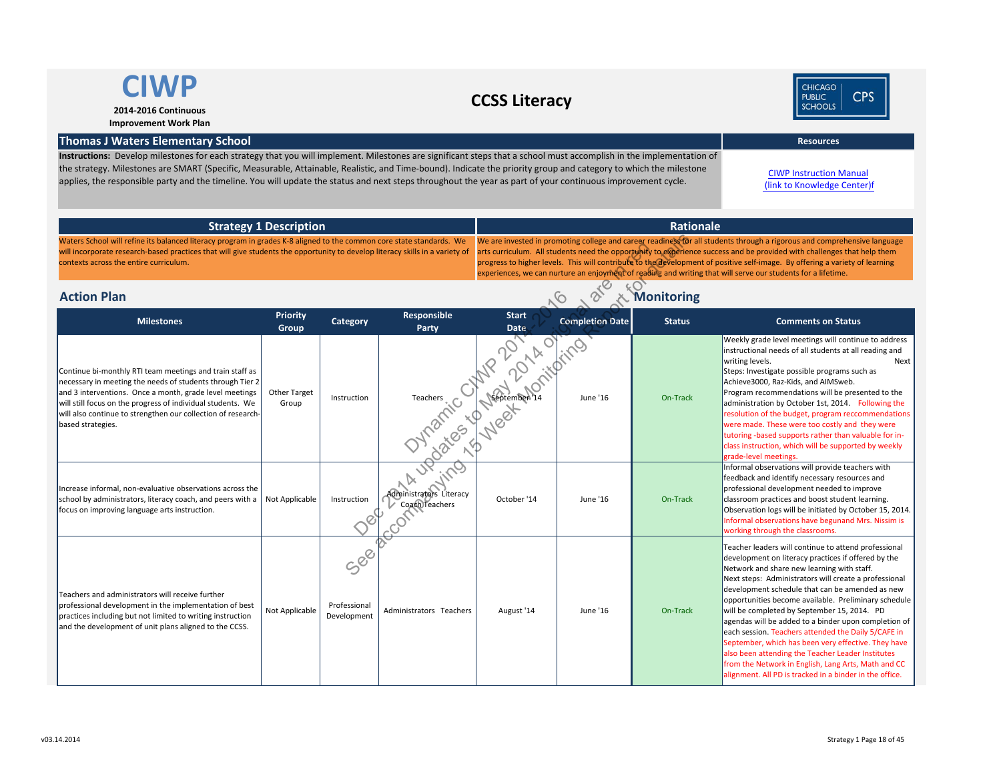| <b>CIWP</b><br>2014-2016 Continuous<br><b>Improvement Work Plan</b> | <b>CCSS Literacy</b>                                                                                                                                                                                                                                                                                                                                                                                                                                                                                     | CHICAGO<br>PUBLIC<br>SCHOOLS<br>CPS                           |
|---------------------------------------------------------------------|----------------------------------------------------------------------------------------------------------------------------------------------------------------------------------------------------------------------------------------------------------------------------------------------------------------------------------------------------------------------------------------------------------------------------------------------------------------------------------------------------------|---------------------------------------------------------------|
| <b>Thomas J Waters Elementary School</b>                            |                                                                                                                                                                                                                                                                                                                                                                                                                                                                                                          | <b>Resources</b>                                              |
|                                                                     | Instructions: Develop milestones for each strategy that you will implement. Milestones are significant steps that a school must accomplish in the implementation of<br>the strategy. Milestones are SMART (Specific, Measurable, Attainable, Realistic, and Time-bound). Indicate the priority group and category to which the milestone<br>applies, the responsible party and the timeline. You will update the status and next steps throughout the year as part of your continuous improvement cycle. | <b>CIWP Instruction Manual</b><br>(link to Knowledge Center)f |

| <b>Strategy 1 Description</b>          | <b>Rationale</b>                                                                                                                                                                                                               |
|----------------------------------------|--------------------------------------------------------------------------------------------------------------------------------------------------------------------------------------------------------------------------------|
|                                        | Waters School will refine its balanced literacy program in grades K-8 aligned to the common core state standards. We We are invested in promoting college and career readiness for all students through a rigorous and compreh |
|                                        | will incorporate research-based practices that will give students the opportunity to develop literacy skills in a variety of arts curriculum. All students need the opportunity to experience success and be provided with cha |
| contexts across the entire curriculum. | progress to higher levels. This will contribute to the development of positive self-image. By offering a variety of learning                                                                                                   |
|                                        | experiences, we can nurture an enjoyment of reading and writing that will serve our students for a lifetime.                                                                                                                   |

| Waters School will refine its balanced literacy program in grades K-8 aligned to the common core state standards. We<br>will incorporate research-based practices that will give students the opportunity to develop literacy skills in a variety of<br>contexts across the entire curriculum.                                       |                          |                             |                                                                                                                | We are invested in promoting college and career readiness for all students through a rigorous and comprehensive language<br>arts curriculum. All students need the opportunity to experience success and be provided with challenges that help them<br>progress to higher levels. This will contribute to the development of positive self-image. By offering a variety of learning<br>experiences, we can nurture an enjoyment of reading and writing that will serve our students for a lifetime. |                        |               |                                                                                                                                                                                                                                                                                                                                                                                                                                                                                                                                                                                                                                                                                                                           |  |
|--------------------------------------------------------------------------------------------------------------------------------------------------------------------------------------------------------------------------------------------------------------------------------------------------------------------------------------|--------------------------|-----------------------------|----------------------------------------------------------------------------------------------------------------|-----------------------------------------------------------------------------------------------------------------------------------------------------------------------------------------------------------------------------------------------------------------------------------------------------------------------------------------------------------------------------------------------------------------------------------------------------------------------------------------------------|------------------------|---------------|---------------------------------------------------------------------------------------------------------------------------------------------------------------------------------------------------------------------------------------------------------------------------------------------------------------------------------------------------------------------------------------------------------------------------------------------------------------------------------------------------------------------------------------------------------------------------------------------------------------------------------------------------------------------------------------------------------------------------|--|
| <b>Action Plan</b>                                                                                                                                                                                                                                                                                                                   |                          |                             |                                                                                                                | .C<br>Monitoring<br>$O_A$                                                                                                                                                                                                                                                                                                                                                                                                                                                                           |                        |               |                                                                                                                                                                                                                                                                                                                                                                                                                                                                                                                                                                                                                                                                                                                           |  |
| <b>Milestones</b>                                                                                                                                                                                                                                                                                                                    | Priority<br><b>Group</b> | Category                    | Responsible<br>Party                                                                                           | <b>Start</b><br>Date                                                                                                                                                                                                                                                                                                                                                                                                                                                                                | <b>Completion Date</b> | <b>Status</b> | <b>Comments on Status</b>                                                                                                                                                                                                                                                                                                                                                                                                                                                                                                                                                                                                                                                                                                 |  |
| Continue bi-monthly RTI team meetings and train staff as<br>necessary in meeting the needs of students through Tier 2<br>and 3 interventions. Once a month, grade level meetings<br>will still focus on the progress of individual students. We<br>will also continue to strengthen our collection of research-<br>based strategies. | Other Target<br>Group    | Instruction                 | Administrator Line Contractor City of Contractor City of Contractor City of Contractor City of City of City of |                                                                                                                                                                                                                                                                                                                                                                                                                                                                                                     |                        | On-Track      | Weekly grade level meetings will continue to address<br>instructional needs of all students at all reading and<br>writing levels.<br>Next<br>Steps: Investigate possible programs such as<br>Achieve3000, Raz-Kids, and AIMSweb.<br>Program recommendations will be presented to the<br>administration by October 1st, 2014. Following the<br>resolution of the budget, program reccommendations<br>were made. These were too costly and they were<br>tutoring-based supports rather than valuable for in-<br>class instruction, which will be supported by weekly<br>grade-level meetings.                                                                                                                               |  |
| Increase informal, non-evaluative observations across the<br>school by administrators, literacy coach, and peers with a<br>focus on improving language arts instruction.                                                                                                                                                             | Not Applicable           | Instruction                 | R UP (O<br>CoachTeachers                                                                                       | October '14                                                                                                                                                                                                                                                                                                                                                                                                                                                                                         | June '16               | On-Track      | Informal observations will provide teachers with<br>feedback and identify necessary resources and<br>professional development needed to improve<br>classroom practices and boost student learning.<br>Observation logs will be initiated by October 15, 2014.<br>Informal observations have begunand Mrs. Nissim is<br>working through the classrooms.                                                                                                                                                                                                                                                                                                                                                                    |  |
| Teachers and administrators will receive further<br>professional development in the implementation of best<br>practices including but not limited to writing instruction<br>and the development of unit plans aligned to the CCSS.                                                                                                   | Not Applicable           | Professional<br>Development | Administrators Teachers                                                                                        | August '14                                                                                                                                                                                                                                                                                                                                                                                                                                                                                          | June '16               | On-Track      | Teacher leaders will continue to attend professional<br>development on literacy practices if offered by the<br>Network and share new learning with staff.<br>Next steps: Administrators will create a professional<br>development schedule that can be amended as new<br>opportunities become available. Preliminary schedule<br>will be completed by September 15, 2014. PD<br>agendas will be added to a binder upon completion of<br>each session. Teachers attended the Daily 5/CAFE in<br>September, which has been very effective. They have<br>also been attending the Teacher Leader Institutes<br>from the Network in English, Lang Arts, Math and CC<br>alignment. All PD is tracked in a binder in the office. |  |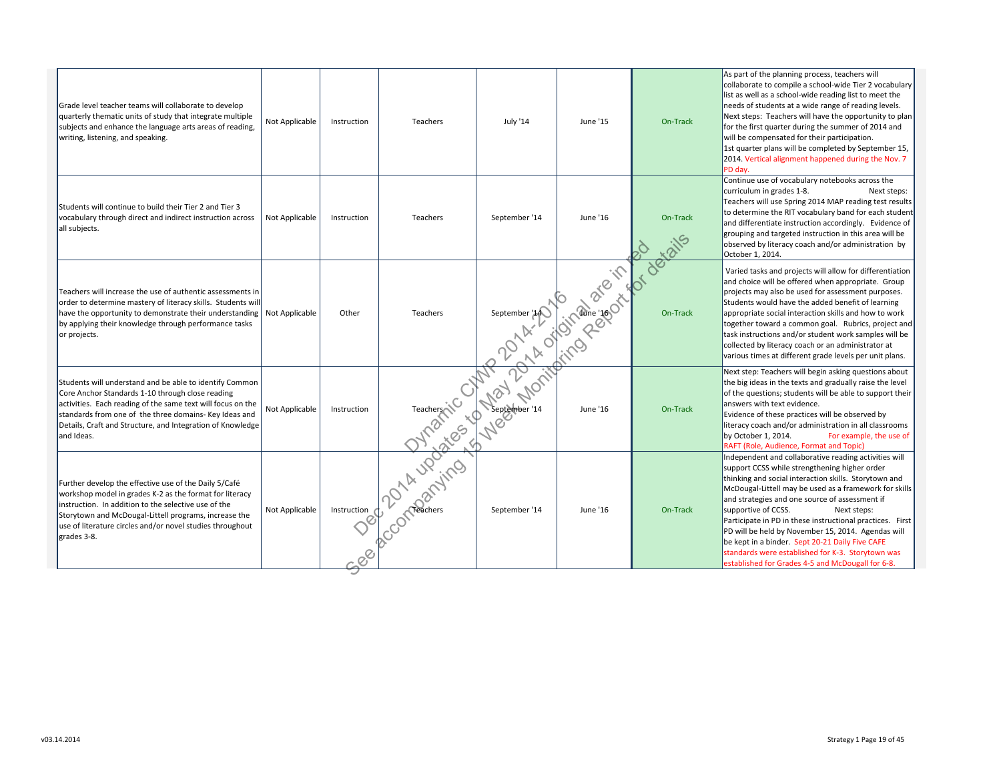| Grade level teacher teams will collaborate to develop<br>quarterly thematic units of study that integrate multiple<br>subjects and enhance the language arts areas of reading,<br>writing, listening, and speaking.                                                                                              | Not Applicable | Instruction | Teachers                                                                                                                                                                                                                       | July '14      | June '15 | On-Track | As part of the planning process, teachers will<br>collaborate to compile a school-wide Tier 2 vocabulary<br>list as well as a school-wide reading list to meet the<br>needs of students at a wide range of reading levels.<br>Next steps: Teachers will have the opportunity to plan<br>for the first quarter during the summer of 2014 and<br>will be compensated for their participation.<br>1st quarter plans will be completed by September 15,<br>2014. Vertical alignment happened during the Nov. 7<br>PD day.                                                                             |
|------------------------------------------------------------------------------------------------------------------------------------------------------------------------------------------------------------------------------------------------------------------------------------------------------------------|----------------|-------------|--------------------------------------------------------------------------------------------------------------------------------------------------------------------------------------------------------------------------------|---------------|----------|----------|---------------------------------------------------------------------------------------------------------------------------------------------------------------------------------------------------------------------------------------------------------------------------------------------------------------------------------------------------------------------------------------------------------------------------------------------------------------------------------------------------------------------------------------------------------------------------------------------------|
| Students will continue to build their Tier 2 and Tier 3<br>vocabulary through direct and indirect instruction across<br>all subjects.                                                                                                                                                                            | Not Applicable | Instruction |                                                                                                                                                                                                                                |               |          |          | Continue use of vocabulary notebooks across the<br>curriculum in grades 1-8.<br>Next steps:<br>Teachers will use Spring 2014 MAP reading test results<br>to determine the RIT vocabulary band for each student<br>and differentiate instruction accordingly. Evidence of<br>grouping and targeted instruction in this area will be<br>observed by literacy coach and/or administration by<br>October 1, 2014.                                                                                                                                                                                     |
| Teachers will increase the use of authentic assessments in<br>order to determine mastery of literacy skills. Students will<br>have the opportunity to demonstrate their understanding<br>by applying their knowledge through performance tasks<br>or projects.                                                   | Not Applicable | Other       | Reachership of the Control of Control of Control of Control of Control of Control of Control of Control of Control of Control of Control of Control of Control of Control of Control of Control of Control of Control of Contr |               |          |          | Varied tasks and projects will allow for differentiation<br>and choice will be offered when appropriate. Group<br>projects may also be used for assessment purposes.<br>Students would have the added benefit of learning<br>appropriate social interaction skills and how to work<br>together toward a common goal. Rubrics, project and<br>task instructions and/or student work samples will be<br>collected by literacy coach or an administrator at<br>various times at different grade levels per unit plans.                                                                               |
| Students will understand and be able to identify Common<br>Core Anchor Standards 1-10 through close reading<br>activities. Each reading of the same text will focus on the<br>standards from one of the three domains- Key Ideas and<br>Details, Craft and Structure, and Integration of Knowledge<br>and Ideas. | Not Applicable | Instruction |                                                                                                                                                                                                                                |               |          |          | Next step: Teachers will begin asking questions about<br>the big ideas in the texts and gradually raise the level<br>of the questions; students will be able to support their<br>answers with text evidence.<br>Evidence of these practices will be observed by<br>literacy coach and/or administration in all classrooms<br>by October 1, 2014.<br>For example, the use of<br>RAFT (Role, Audience, Format and Topic)                                                                                                                                                                            |
| Further develop the effective use of the Daily 5/Café<br>workshop model in grades K-2 as the format for literacy<br>instruction. In addition to the selective use of the<br>Storytown and McDougal-Littell programs, increase the<br>use of literature circles and/or novel studies throughout<br>grades 3-8.    | Not Applicable | Instruction | of Dormanders History Contractor                                                                                                                                                                                               | September '14 | June '16 | On-Track | Independent and collaborative reading activities will<br>support CCSS while strengthening higher order<br>thinking and social interaction skills. Storytown and<br>McDougal-Littell may be used as a framework for skills<br>and strategies and one source of assessment if<br>supportive of CCSS.<br>Next steps:<br>Participate in PD in these instructional practices. First<br>PD will be held by November 15, 2014. Agendas will<br>be kept in a binder. Sept 20-21 Daily Five CAFE<br>standards were established for K-3. Storytown was<br>established for Grades 4-5 and McDougall for 6-8. |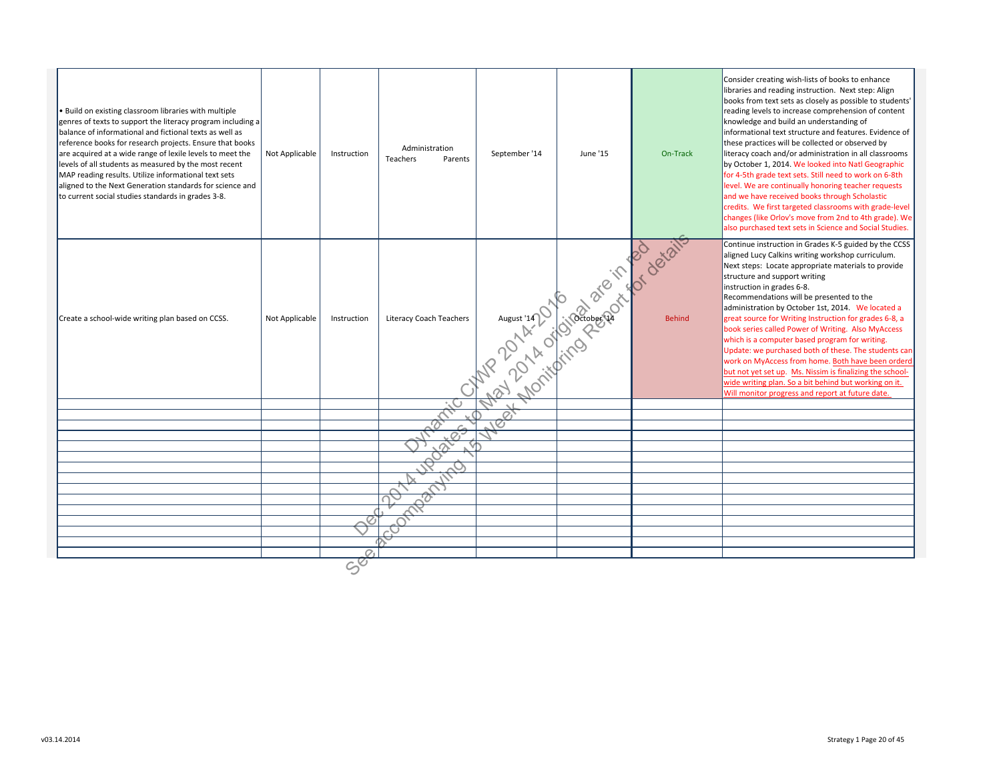| . Build on existing classroom libraries with multiple<br>genres of texts to support the literacy program including a<br>balance of informational and fictional texts as well as<br>reference books for research projects. Ensure that books<br>are acquired at a wide range of lexile levels to meet the<br>levels of all students as measured by the most recent<br>MAP reading results. Utilize informational text sets<br>aligned to the Next Generation standards for science and<br>to current social studies standards in grades 3-8. | Not Applicable | Instruction                | Administration<br>Teachers<br>Parents   | September '14                            | June '15 | On-Track | Consider creating wish-lists of books to enhance<br>libraries and reading instruction. Next step: Align<br>books from text sets as closely as possible to students'<br>reading levels to increase comprehension of content<br>knowledge and build an understanding of<br>informational text structure and features. Evidence of<br>these practices will be collected or observed by<br>literacy coach and/or administration in all classrooms<br>by October 1, 2014. We looked into Natl Geographic<br>for 4-5th grade text sets. Still need to work on 6-8th<br>level. We are continually honoring teacher requests<br>and we have received books through Scholastic<br>credits. We first targeted classrooms with grade-level<br>changes (like Orlov's move from 2nd to 4th grade). We<br>also purchased text sets in Science and Social Studies. |  |
|---------------------------------------------------------------------------------------------------------------------------------------------------------------------------------------------------------------------------------------------------------------------------------------------------------------------------------------------------------------------------------------------------------------------------------------------------------------------------------------------------------------------------------------------|----------------|----------------------------|-----------------------------------------|------------------------------------------|----------|----------|-----------------------------------------------------------------------------------------------------------------------------------------------------------------------------------------------------------------------------------------------------------------------------------------------------------------------------------------------------------------------------------------------------------------------------------------------------------------------------------------------------------------------------------------------------------------------------------------------------------------------------------------------------------------------------------------------------------------------------------------------------------------------------------------------------------------------------------------------------|--|
| Create a school-wide writing plan based on CCSS.                                                                                                                                                                                                                                                                                                                                                                                                                                                                                            | Not Applicable | Instruction                | Literacy Coach Teachers                 | No of the Mill Criticists of the details |          |          | Continue instruction in Grades K-5 guided by the CCSS<br>aligned Lucy Calkins writing workshop curriculum.<br>Next steps: Locate appropriate materials to provide<br>structure and support writing<br>instruction in grades 6-8.<br>Recommendations will be presented to the<br>administration by October 1st, 2014. We located a<br>great source for Writing Instruction for grades 6-8, a<br>book series called Power of Writing. Also MyAccess<br>which is a computer based program for writing.<br>Update: we purchased both of these. The students can<br>work on MyAccess from home. Both have been orderd<br>but not yet set up. Ms. Nissim is finalizing the school-<br>wide writing plan. So a bit behind but working on it.<br>Will monitor progress and report at future date.                                                           |  |
|                                                                                                                                                                                                                                                                                                                                                                                                                                                                                                                                             |                | তী<br>O <sub>1</sub><br>58 | ∞<br><b>DEC-</b><br>JPO<br>Become Mille | $\frac{1}{\sqrt{6}}$                     |          |          |                                                                                                                                                                                                                                                                                                                                                                                                                                                                                                                                                                                                                                                                                                                                                                                                                                                     |  |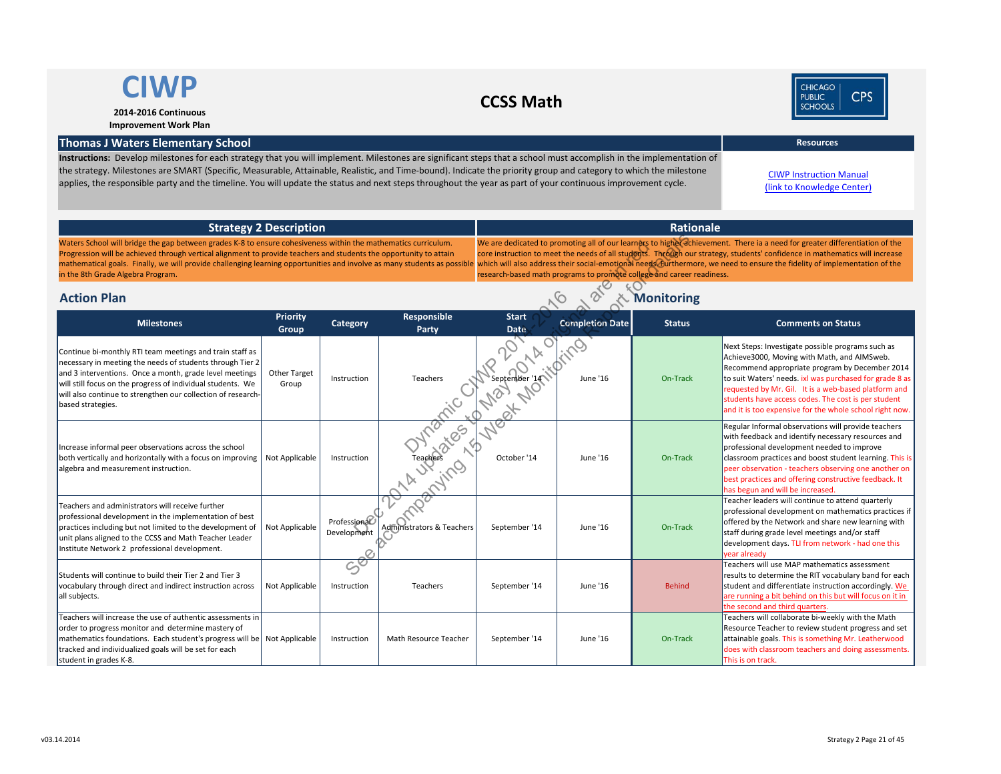| <b>CIWP</b><br>2014-2016 Continuous<br><b>Improvement Work Plan</b>                                                                                                                                                                                                                                                                                                                                                                                                                                      | <b>CCSS Math</b> | CHICAGO<br>PUBLIC<br>SCHOOLS<br><b>CPS</b>                   |
|----------------------------------------------------------------------------------------------------------------------------------------------------------------------------------------------------------------------------------------------------------------------------------------------------------------------------------------------------------------------------------------------------------------------------------------------------------------------------------------------------------|------------------|--------------------------------------------------------------|
| <b>Thomas J Waters Elementary School</b>                                                                                                                                                                                                                                                                                                                                                                                                                                                                 |                  | <b>Resources</b>                                             |
| Instructions: Develop milestones for each strategy that you will implement. Milestones are significant steps that a school must accomplish in the implementation of<br>the strategy. Milestones are SMART (Specific, Measurable, Attainable, Realistic, and Time-bound). Indicate the priority group and category to which the milestone<br>applies, the responsible party and the timeline. You will update the status and next steps throughout the year as part of your continuous improvement cycle. |                  | <b>CIWP Instruction Manual</b><br>(link to Knowledge Center) |

| <b>Strategy 2 Description</b>                                                                                                                                                                 | <b>Rationale</b>                                                        |
|-----------------------------------------------------------------------------------------------------------------------------------------------------------------------------------------------|-------------------------------------------------------------------------|
| Waters School will bridge the gap between grades K-8 to ensure cohesiveness within the mathematics curriculum.                                                                                | We are dedicated to promoting all of our learners to higher achievement |
| Progression will be achieved through vertical alignment to provide teachers and students the opportunity to attain                                                                            | core instruction to meet the needs of all students. Through our strateg |
| mathematical goals. Finally, we will provide challenging learning opportunities and involve as many students as possible which will also address their social-emotional needs Furthermore, we |                                                                         |
| in the 8th Grade Algebra Program.                                                                                                                                                             | research-based math programs to promote college and career readines     |

| Waters School will bridge the gap between grades K-8 to ensure cohesiveness within the mathematics curriculum.<br>Progression will be achieved through vertical alignment to provide teachers and students the opportunity to attain<br>in the 8th Grade Algebra Program.                                                            |                       |                             | We are dedicated to promoting all of our learners to higher achievement. There ia a need for greater differentiation of the<br>core instruction to meet the needs of all students. Through our strategy, students' confidence in mathematics will increase<br>mathematical goals. Finally, we will provide challenging learning opportunities and involve as many students as possible which will also address their social-emotional needs furthermore, we need to ensure the fidelity of i<br>research-based math programs to promote college and career readiness. |                       |                        |               |                                                                                                                                                                                                                                                                                                                                                                                         |  |
|--------------------------------------------------------------------------------------------------------------------------------------------------------------------------------------------------------------------------------------------------------------------------------------------------------------------------------------|-----------------------|-----------------------------|-----------------------------------------------------------------------------------------------------------------------------------------------------------------------------------------------------------------------------------------------------------------------------------------------------------------------------------------------------------------------------------------------------------------------------------------------------------------------------------------------------------------------------------------------------------------------|-----------------------|------------------------|---------------|-----------------------------------------------------------------------------------------------------------------------------------------------------------------------------------------------------------------------------------------------------------------------------------------------------------------------------------------------------------------------------------------|--|
| <b>Action Plan</b>                                                                                                                                                                                                                                                                                                                   |                       |                             |                                                                                                                                                                                                                                                                                                                                                                                                                                                                                                                                                                       | <b>Monitoring</b>     |                        |               |                                                                                                                                                                                                                                                                                                                                                                                         |  |
| <b>Milestones</b>                                                                                                                                                                                                                                                                                                                    | Priority<br>Group     | <b>Category</b>             | Responsible<br>Party                                                                                                                                                                                                                                                                                                                                                                                                                                                                                                                                                  | <b>Start</b><br>Date  | <b>Completion Date</b> | <b>Status</b> | <b>Comments on Status</b>                                                                                                                                                                                                                                                                                                                                                               |  |
| Continue bi-monthly RTI team meetings and train staff as<br>necessary in meeting the needs of students through Tier 2<br>and 3 interventions. Once a month, grade level meetings<br>will still focus on the progress of individual students. We<br>will also continue to strengthen our collection of research-<br>based strategies. | Other Target<br>Group | Instruction                 | Teachers                                                                                                                                                                                                                                                                                                                                                                                                                                                                                                                                                              | September 14<br>Week! | June '16               | On-Track      | Next Steps: Investigate possible programs such as<br>Achieve3000, Moving with Math, and AIMSweb.<br>Recommend appropriate program by December 2014<br>to suit Waters' needs. ixl was purchased for grade 8 as<br>requested by Mr. Gil. It is a web-based platform and<br>students have access codes. The cost is per student<br>and it is too expensive for the whole school right now. |  |
| Increase informal peer observations across the school<br>both vertically and horizontally with a focus on improving<br>algebra and measurement instruction.                                                                                                                                                                          | Not Applicable        | Instruction                 | Administrators & Teachers                                                                                                                                                                                                                                                                                                                                                                                                                                                                                                                                             | October '14           | June '16               | On-Track      | Regular Informal observations will provide teachers<br>with feedback and identify necessary resources and<br>professional development needed to improve<br>classroom practices and boost student learning. This is<br>peer observation - teachers observing one another on<br>best practices and offering constructive feedback. It<br>has begun and will be increased                  |  |
| Teachers and administrators will receive further<br>professional development in the implementation of best<br>practices including but not limited to the development of<br>unit plans aligned to the CCSS and Math Teacher Leader<br>Institute Network 2 professional development.                                                   | Not Applicable        | Professional<br>Development |                                                                                                                                                                                                                                                                                                                                                                                                                                                                                                                                                                       | September '14         | June '16               | On-Track      | Teacher leaders will continue to attend quarterly<br>professional development on mathematics practices if<br>offered by the Network and share new learning with<br>staff during grade level meetings and/or staff<br>development days. TLI from network - had one this<br>vear already                                                                                                  |  |
| Students will continue to build their Tier 2 and Tier 3<br>vocabulary through direct and indirect instruction across<br>all subjects.                                                                                                                                                                                                | Not Applicable        | 58<br>Instruction           | Teachers                                                                                                                                                                                                                                                                                                                                                                                                                                                                                                                                                              | September '14         | June '16               | <b>Behind</b> | Teachers will use MAP mathematics assessment<br>results to determine the RIT vocabulary band for each<br>student and differentiate instruction accordingly. We<br>are running a bit behind on this but will focus on it in<br>the second and third quarters.                                                                                                                            |  |
| Teachers will increase the use of authentic assessments in<br>order to progress monitor and determine mastery of<br>mathematics foundations. Each student's progress will be Not Applicable<br>tracked and individualized goals will be set for each<br>student in grades K-8.                                                       |                       | Instruction                 | Math Resource Teacher                                                                                                                                                                                                                                                                                                                                                                                                                                                                                                                                                 | September '14         | June '16               | On-Track      | Teachers will collaborate bi-weekly with the Math<br>Resource Teacher to review student progress and set<br>attainable goals. This is something Mr. Leatherwood<br>does with classroom teachers and doing assessments.<br>This is on track.                                                                                                                                             |  |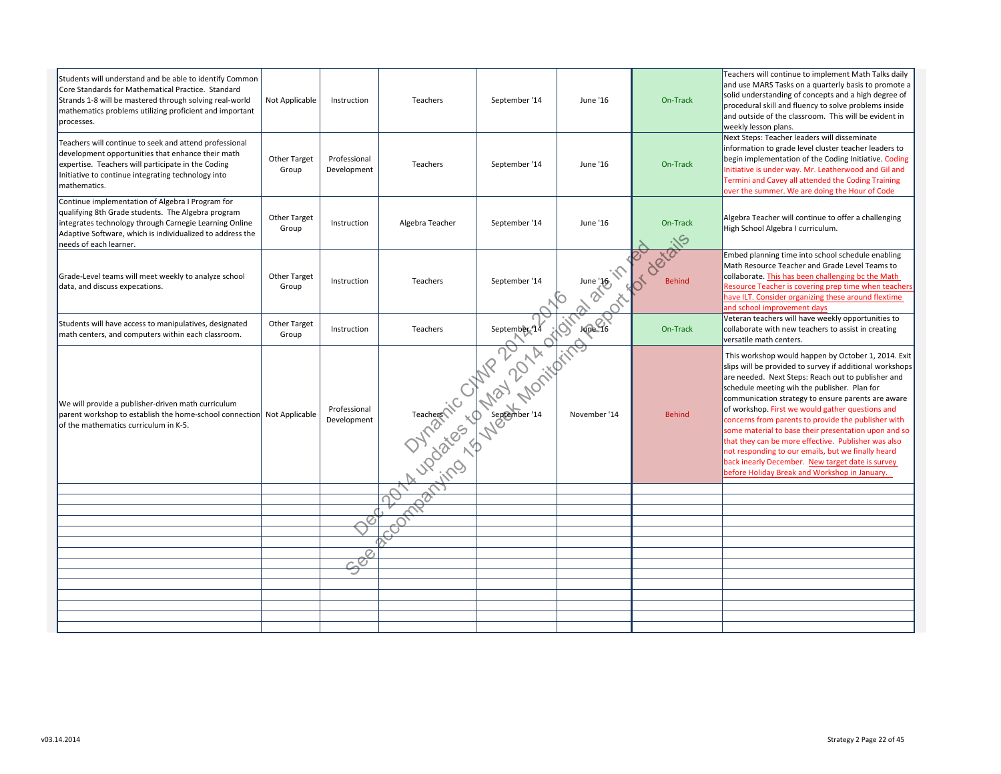| Students will understand and be able to identify Common<br>Core Standards for Mathematical Practice. Standard<br>Strands 1-8 will be mastered through solving real-world<br>mathematics problems utilizing proficient and important<br>processes.       | Not Applicable               | Instruction                 | Teachers                                                                                                                                                                                                                       | September '14 | June '16 | On-Track | Teachers will continue to implement Math Talks daily<br>and use MARS Tasks on a quarterly basis to promote a<br>solid understanding of concepts and a high degree of<br>procedural skill and fluency to solve problems inside<br>and outside of the classroom. This will be evident in<br>weekly lesson plans.                                                                                                                                                                                                                                                                                                                                                   |
|---------------------------------------------------------------------------------------------------------------------------------------------------------------------------------------------------------------------------------------------------------|------------------------------|-----------------------------|--------------------------------------------------------------------------------------------------------------------------------------------------------------------------------------------------------------------------------|---------------|----------|----------|------------------------------------------------------------------------------------------------------------------------------------------------------------------------------------------------------------------------------------------------------------------------------------------------------------------------------------------------------------------------------------------------------------------------------------------------------------------------------------------------------------------------------------------------------------------------------------------------------------------------------------------------------------------|
| Teachers will continue to seek and attend professional<br>development opportunities that enhance their math<br>expertise. Teachers will participate in the Coding<br>Initiative to continue integrating technology into<br>mathematics.                 | <b>Other Target</b><br>Group | Professional<br>Development | Teachers                                                                                                                                                                                                                       | September '14 | June '16 | On-Track | Next Steps: Teacher leaders will disseminate<br>information to grade level cluster teacher leaders to<br>begin implementation of the Coding Initiative. Coding<br>Initiative is under way. Mr. Leatherwood and Gil and<br>Termini and Cavey all attended the Coding Training<br>over the summer. We are doing the Hour of Code                                                                                                                                                                                                                                                                                                                                   |
| Continue implementation of Algebra I Program for<br>qualifying 8th Grade students. The Algebra program<br>integrates technology through Carnegie Learning Online<br>Adaptive Software, which is individualized to address the<br>needs of each learner. | Other Target<br>Group        |                             |                                                                                                                                                                                                                                |               |          |          | Algebra Teacher will continue to offer a challenging<br>High School Algebra I curriculum.                                                                                                                                                                                                                                                                                                                                                                                                                                                                                                                                                                        |
| Grade-Level teams will meet weekly to analyze school<br>data, and discuss expecations.                                                                                                                                                                  | Other Target<br>Group        |                             |                                                                                                                                                                                                                                |               |          |          | Embed planning time into school schedule enabling<br>Math Resource Teacher and Grade Level Teams to<br>collaborate. This has been challenging bc the Math<br>Resource Teacher is covering prep time when teachers<br>have ILT. Consider organizing these around flextime<br>and school improvement days                                                                                                                                                                                                                                                                                                                                                          |
| Students will have access to manipulatives, designated<br>math centers, and computers within each classroom.                                                                                                                                            | Other Target<br>Group        |                             |                                                                                                                                                                                                                                |               |          |          | Veteran teachers will have weekly opportunities to<br>collaborate with new teachers to assist in creating<br>versatile math centers.                                                                                                                                                                                                                                                                                                                                                                                                                                                                                                                             |
| We will provide a publisher-driven math curriculum<br>parent workshop to establish the home-school connection Not Applicable<br>of the mathematics curriculum in K-5.                                                                                   |                              | Professional<br>Development | Mine 16 On-Track Mine 16 On-Track Mine 16 On-Track Mine 16 On-Track Mine 16 On-Track Mine 16 On-Track Mine 16 On-Track Mine 16 On-Track Mine 16 On-Track Mine 16 On-Track Mine 16 On-Track Mine 16 On-Track Mine 16 On-Track M |               |          |          | This workshop would happen by October 1, 2014. Exit<br>slips will be provided to survey if additional workshops<br>are needed. Next Steps: Reach out to publisher and<br>schedule meeting wih the publisher. Plan for<br>communication strategy to ensure parents are aware<br>of workshop. First we would gather questions and<br>concerns from parents to provide the publisher with<br>some material to base their presentation upon and so<br>that they can be more effective. Publisher was also<br>not responding to our emails, but we finally heard<br>back inearly December. New target date is survey<br>before Holiday Break and Workshop in January. |
|                                                                                                                                                                                                                                                         |                              |                             |                                                                                                                                                                                                                                |               |          |          |                                                                                                                                                                                                                                                                                                                                                                                                                                                                                                                                                                                                                                                                  |
|                                                                                                                                                                                                                                                         |                              |                             |                                                                                                                                                                                                                                |               |          |          |                                                                                                                                                                                                                                                                                                                                                                                                                                                                                                                                                                                                                                                                  |
|                                                                                                                                                                                                                                                         |                              |                             |                                                                                                                                                                                                                                |               |          |          |                                                                                                                                                                                                                                                                                                                                                                                                                                                                                                                                                                                                                                                                  |
|                                                                                                                                                                                                                                                         |                              |                             |                                                                                                                                                                                                                                |               |          |          |                                                                                                                                                                                                                                                                                                                                                                                                                                                                                                                                                                                                                                                                  |
|                                                                                                                                                                                                                                                         |                              | $50 - 60$                   |                                                                                                                                                                                                                                |               |          |          |                                                                                                                                                                                                                                                                                                                                                                                                                                                                                                                                                                                                                                                                  |
|                                                                                                                                                                                                                                                         |                              |                             |                                                                                                                                                                                                                                |               |          |          |                                                                                                                                                                                                                                                                                                                                                                                                                                                                                                                                                                                                                                                                  |
|                                                                                                                                                                                                                                                         |                              |                             |                                                                                                                                                                                                                                |               |          |          |                                                                                                                                                                                                                                                                                                                                                                                                                                                                                                                                                                                                                                                                  |
|                                                                                                                                                                                                                                                         |                              |                             |                                                                                                                                                                                                                                |               |          |          |                                                                                                                                                                                                                                                                                                                                                                                                                                                                                                                                                                                                                                                                  |
|                                                                                                                                                                                                                                                         |                              |                             |                                                                                                                                                                                                                                |               |          |          |                                                                                                                                                                                                                                                                                                                                                                                                                                                                                                                                                                                                                                                                  |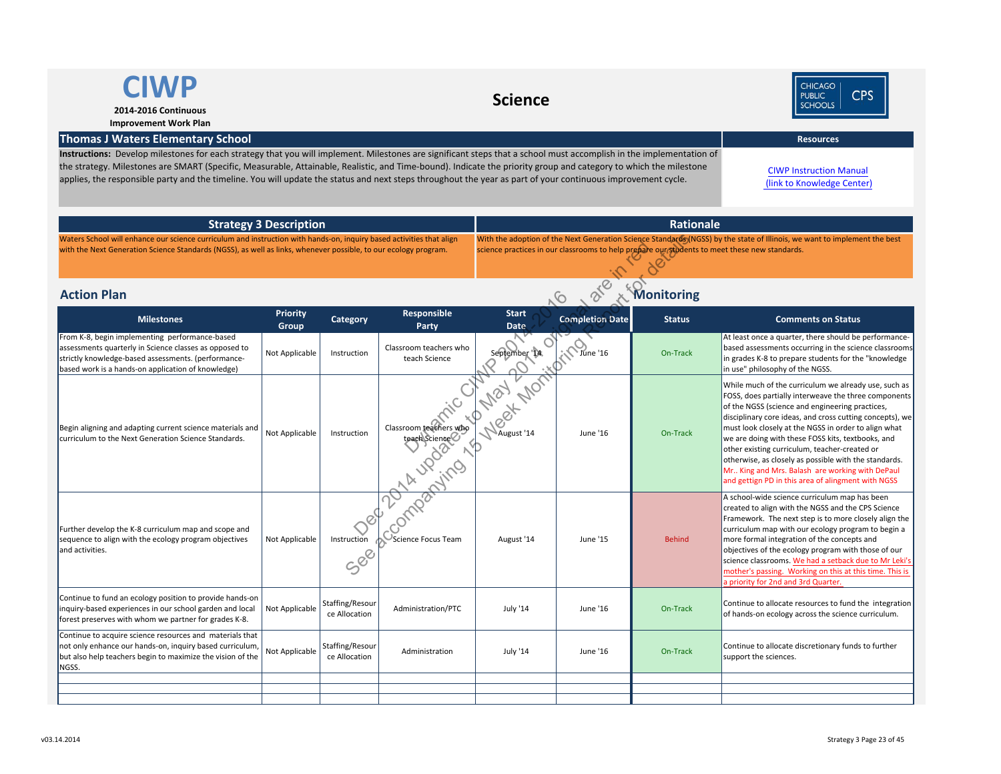| 2014-2016 Continuous<br><b>Improvement Work Plan</b><br><b>Thomas J Waters Elementary School</b>                                                                                                                                        | <b>CHICAGO</b><br><b>CPS</b><br><b>PUBLIC</b><br><b>SCHOOLS</b><br><b>Resources</b>                                                                                                                                                                                                                                                                                                                                                                                                                      |                                  |                                                                                                                                                                                                                               |                             |                        |                                                                                                                |                                                                                                                                                                                                                                                                                                                                                                                                                                                                                                                                                             |  |
|-----------------------------------------------------------------------------------------------------------------------------------------------------------------------------------------------------------------------------------------|----------------------------------------------------------------------------------------------------------------------------------------------------------------------------------------------------------------------------------------------------------------------------------------------------------------------------------------------------------------------------------------------------------------------------------------------------------------------------------------------------------|----------------------------------|-------------------------------------------------------------------------------------------------------------------------------------------------------------------------------------------------------------------------------|-----------------------------|------------------------|----------------------------------------------------------------------------------------------------------------|-------------------------------------------------------------------------------------------------------------------------------------------------------------------------------------------------------------------------------------------------------------------------------------------------------------------------------------------------------------------------------------------------------------------------------------------------------------------------------------------------------------------------------------------------------------|--|
|                                                                                                                                                                                                                                         | Instructions: Develop milestones for each strategy that you will implement. Milestones are significant steps that a school must accomplish in the implementation of<br>the strategy. Milestones are SMART (Specific, Measurable, Attainable, Realistic, and Time-bound). Indicate the priority group and category to which the milestone<br>applies, the responsible party and the timeline. You will update the status and next steps throughout the year as part of your continuous improvement cycle. |                                  |                                                                                                                                                                                                                               |                             |                        |                                                                                                                |                                                                                                                                                                                                                                                                                                                                                                                                                                                                                                                                                             |  |
|                                                                                                                                                                                                                                         | <b>Strategy 3 Description</b>                                                                                                                                                                                                                                                                                                                                                                                                                                                                            |                                  |                                                                                                                                                                                                                               |                             |                        | <b>Rationale</b>                                                                                               |                                                                                                                                                                                                                                                                                                                                                                                                                                                                                                                                                             |  |
| Waters School will enhance our science curriculum and instruction with hands-on, inquiry based activities that align<br>with the Next Generation Science Standards (NGSS), as well as links, whenever possible, to our ecology program. |                                                                                                                                                                                                                                                                                                                                                                                                                                                                                                          |                                  |                                                                                                                                                                                                                               |                             |                        | science practices in our classrooms to help prepare our students to meet these new standards.<br><b>KNO</b> de | With the adoption of the Next Generation Science Standards (NGSS) by the state of Illinois, we want to implement the best                                                                                                                                                                                                                                                                                                                                                                                                                                   |  |
| <b>Action Plan</b>                                                                                                                                                                                                                      |                                                                                                                                                                                                                                                                                                                                                                                                                                                                                                          |                                  |                                                                                                                                                                                                                               |                             | 16 1 218 x             |                                                                                                                |                                                                                                                                                                                                                                                                                                                                                                                                                                                                                                                                                             |  |
| <b>Milestones</b>                                                                                                                                                                                                                       | Priority<br>Group                                                                                                                                                                                                                                                                                                                                                                                                                                                                                        | Category                         | Responsible<br>Party                                                                                                                                                                                                          | <b>Start</b><br><b>Date</b> | <b>Completion Date</b> | <b>Status</b>                                                                                                  | <b>Comments on Status</b>                                                                                                                                                                                                                                                                                                                                                                                                                                                                                                                                   |  |
| From K-8, begin implementing performance-based<br>assessments quarterly in Science classes as opposed to<br>strictly knowledge-based assessments. (performance-<br>based work is a hands-on application of knowledge)                   | Not Applicable                                                                                                                                                                                                                                                                                                                                                                                                                                                                                           |                                  |                                                                                                                                                                                                                               |                             | City Chine '16         | On-Track                                                                                                       | At least once a quarter, there should be performance-<br>based assessments occurring in the science classrooms<br>in grades K-8 to prepare students for the "knowledge"<br>in use" philosophy of the NGSS.                                                                                                                                                                                                                                                                                                                                                  |  |
| Begin aligning and adapting current science materials and<br>curriculum to the Next Generation Science Standards.                                                                                                                       | Not Applicable                                                                                                                                                                                                                                                                                                                                                                                                                                                                                           |                                  | Classroom teach Science Contract Contract Contract Contract Contract Contract Contract Contract Contract Contract Contract Contract Contract Contract Contract Contract Contract Contract Contract Contract Contract Contract |                             | June '16               | On-Track                                                                                                       | While much of the curriculum we already use, such as<br>FOSS, does partially interweave the three components<br>of the NGSS (science and engineering practices,<br>disciplinary core ideas, and cross cutting concepts), we<br>must look closely at the NGSS in order to align what<br>we are doing with these FOSS kits, textbooks, and<br>other existing curriculum, teacher-created or<br>otherwise, as closely as possible with the standards.<br>Mr King and Mrs. Balash are working with DePaul<br>and gettign PD in this area of alingment with NGSS |  |
| Further develop the K-8 curriculum map and scope and<br>sequence to align with the ecology program objectives<br>land activities.                                                                                                       | Not Applicable                                                                                                                                                                                                                                                                                                                                                                                                                                                                                           | Instruction                      | Science Focus Team                                                                                                                                                                                                            | August '14                  | June '15               | <b>Behind</b>                                                                                                  | A school-wide science curriculum map has been<br>created to align with the NGSS and the CPS Science<br>Framework. The next step is to more closely align the<br>curriculum map with our ecology program to begin a<br>more formal integration of the concepts and<br>objectives of the ecology program with those of our<br>science classrooms. We had a setback due to Mr Leki's<br>mother's passing. Working on this at this time. This is<br>a priority for 2nd and 3rd Quarter.                                                                         |  |
| Continue to fund an ecology position to provide hands-on<br>inquiry-based experiences in our school garden and local<br>forest preserves with whom we partner for grades K-8.                                                           | Not Applicable                                                                                                                                                                                                                                                                                                                                                                                                                                                                                           | Staffing/Resour<br>ce Allocation | Administration/PTC                                                                                                                                                                                                            | July '14                    | June '16               | On-Track                                                                                                       | Continue to allocate resources to fund the integration<br>of hands-on ecology across the science curriculum.                                                                                                                                                                                                                                                                                                                                                                                                                                                |  |
| Continue to acquire science resources and materials that<br>not only enhance our hands-on, inquiry based curriculum,<br>but also help teachers begin to maximize the vision of the<br>NGSS.                                             | Not Applicable                                                                                                                                                                                                                                                                                                                                                                                                                                                                                           | Staffing/Resour<br>ce Allocation | Administration                                                                                                                                                                                                                | July '14                    | June '16               | On-Track                                                                                                       | Continue to allocate discretionary funds to further<br>support the sciences.                                                                                                                                                                                                                                                                                                                                                                                                                                                                                |  |
|                                                                                                                                                                                                                                         |                                                                                                                                                                                                                                                                                                                                                                                                                                                                                                          |                                  |                                                                                                                                                                                                                               |                             |                        |                                                                                                                |                                                                                                                                                                                                                                                                                                                                                                                                                                                                                                                                                             |  |
|                                                                                                                                                                                                                                         |                                                                                                                                                                                                                                                                                                                                                                                                                                                                                                          |                                  |                                                                                                                                                                                                                               |                             |                        |                                                                                                                |                                                                                                                                                                                                                                                                                                                                                                                                                                                                                                                                                             |  |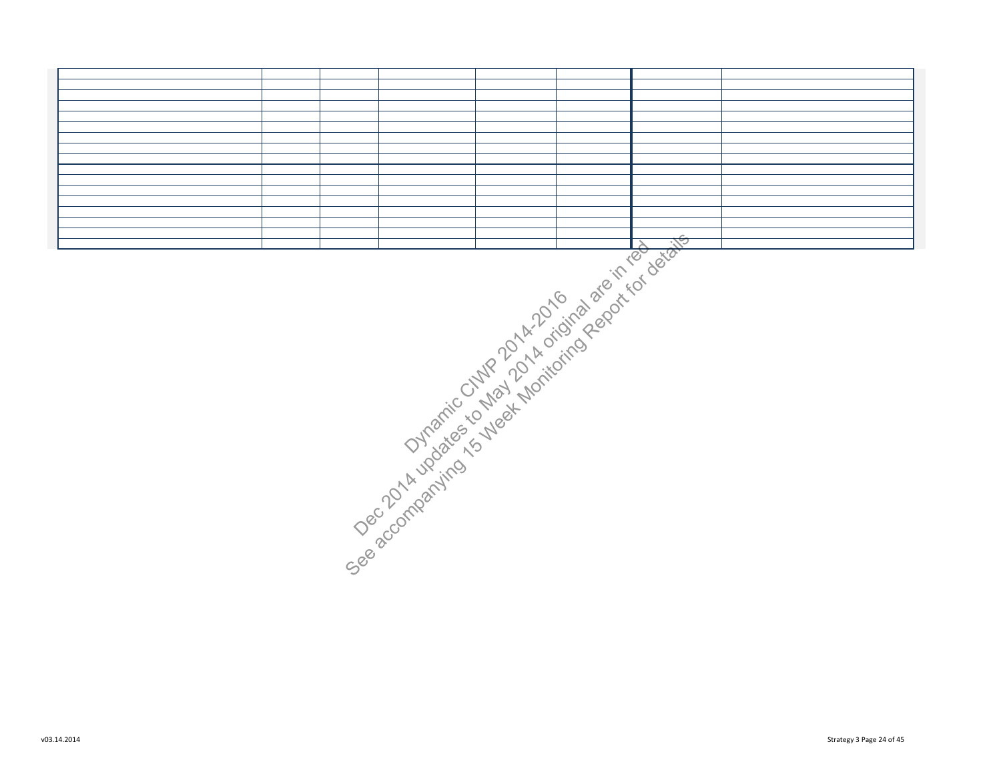|  |  |  | Geological individuals of the control of deep of the determination of the determination of the determination of the determination of the determination of the determination of the determination of the determination of the d<br>Red Portion in the Red of MR Do K A 2010/07/18 as determined |  |  |  |  |
|--|--|--|------------------------------------------------------------------------------------------------------------------------------------------------------------------------------------------------------------------------------------------------------------------------------------------------|--|--|--|--|
|  |  |  |                                                                                                                                                                                                                                                                                                |  |  |  |  |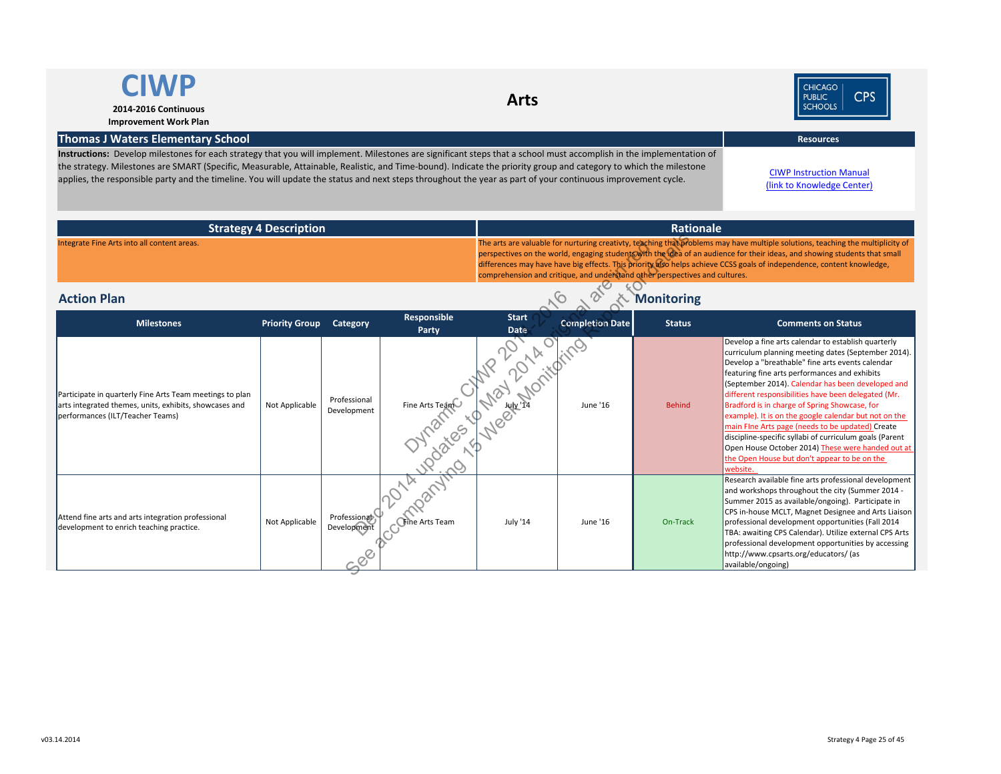| 2014-2016 Continuous<br><b>Improvement Work Plan</b>                                                                                                                                                                                                                                                                                                                                                                                                                                                     | Arts                          |  |                                          |  |                        |                                                                             | <b>CHICAGO</b><br><b>CPS</b><br><b>PUBLIC</b><br><b>SCHOOLS</b>                                                                                                                                                                                                                                                                                                                                                                                                                                                                                                                                                                                                       |
|----------------------------------------------------------------------------------------------------------------------------------------------------------------------------------------------------------------------------------------------------------------------------------------------------------------------------------------------------------------------------------------------------------------------------------------------------------------------------------------------------------|-------------------------------|--|------------------------------------------|--|------------------------|-----------------------------------------------------------------------------|-----------------------------------------------------------------------------------------------------------------------------------------------------------------------------------------------------------------------------------------------------------------------------------------------------------------------------------------------------------------------------------------------------------------------------------------------------------------------------------------------------------------------------------------------------------------------------------------------------------------------------------------------------------------------|
| <b>Thomas J Waters Elementary School</b>                                                                                                                                                                                                                                                                                                                                                                                                                                                                 |                               |  |                                          |  |                        |                                                                             | <b>Resources</b>                                                                                                                                                                                                                                                                                                                                                                                                                                                                                                                                                                                                                                                      |
| Instructions: Develop milestones for each strategy that you will implement. Milestones are significant steps that a school must accomplish in the implementation of<br>the strategy. Milestones are SMART (Specific, Measurable, Attainable, Realistic, and Time-bound). Indicate the priority group and category to which the milestone<br>applies, the responsible party and the timeline. You will update the status and next steps throughout the year as part of your continuous improvement cycle. |                               |  |                                          |  |                        |                                                                             | <b>CIWP Instruction Manual</b><br>(link to Knowledge Center)                                                                                                                                                                                                                                                                                                                                                                                                                                                                                                                                                                                                          |
|                                                                                                                                                                                                                                                                                                                                                                                                                                                                                                          | <b>Strategy 4 Description</b> |  |                                          |  |                        | <b>Rationale</b>                                                            |                                                                                                                                                                                                                                                                                                                                                                                                                                                                                                                                                                                                                                                                       |
| Integrate Fine Arts into all content areas.                                                                                                                                                                                                                                                                                                                                                                                                                                                              |                               |  |                                          |  |                        | comprehension and critique, and understand other perspectives and cultures. | The arts are valuable for nurturing creativty, teaching that problems may have multiple solutions, teaching the multiplicity of<br>perspectives on the world, engaging students with the idea of an audience for their ideas, and showing students that small<br>differences may have have big effects. This priority also helps achieve CCSS goals of independence, content knowledge,                                                                                                                                                                                                                                                                               |
| <b>Action Plan</b>                                                                                                                                                                                                                                                                                                                                                                                                                                                                                       |                               |  |                                          |  |                        | <b>Monitoring</b>                                                           |                                                                                                                                                                                                                                                                                                                                                                                                                                                                                                                                                                                                                                                                       |
| <b>Milestones</b>                                                                                                                                                                                                                                                                                                                                                                                                                                                                                        | <b>Priority Group</b>         |  |                                          |  | <b>Completion Date</b> | <b>Status</b>                                                               | <b>Comments on Status</b>                                                                                                                                                                                                                                                                                                                                                                                                                                                                                                                                                                                                                                             |
| Participate in quarterly Fine Arts Team meetings to plan<br>arts integrated themes, units, exhibits, showcases and<br>performances (ILT/Teacher Teams)                                                                                                                                                                                                                                                                                                                                                   | Not Applicable                |  | Professionation Company of the Arts Team |  | June '16               | <b>Behind</b>                                                               | Develop a fine arts calendar to establish quarterly<br>curriculum planning meeting dates (September 2014).<br>Develop a "breathable" fine arts events calendar<br>featuring fine arts performances and exhibits<br>(September 2014). Calendar has been developed and<br>different responsibilities have been delegated (Mr.<br>Bradford is in charge of Spring Showcase, for<br>example). It is on the google calendar but not on the<br>main Flne Arts page (needs to be updated) Create<br>discipline-specific syllabi of curriculum goals (Parent<br>Open House October 2014) These were handed out at<br>the Open House but don't appear to be on the<br>website. |
| Attend fine arts and arts integration professional<br>development to enrich teaching practice.                                                                                                                                                                                                                                                                                                                                                                                                           | Not Applicable                |  |                                          |  | June '16               | On-Track                                                                    | Research available fine arts professional development<br>and workshops throughout the city (Summer 2014 -<br>Summer 2015 as available/ongoing). Participate in<br>CPS in-house MCLT, Magnet Designee and Arts Liaison<br>professional development opportunities (Fall 2014<br>TBA: awaiting CPS Calendar). Utilize external CPS Arts<br>professional development opportunities by accessing<br>http://www.cpsarts.org/educators/ (as<br>available/ongoing)                                                                                                                                                                                                            |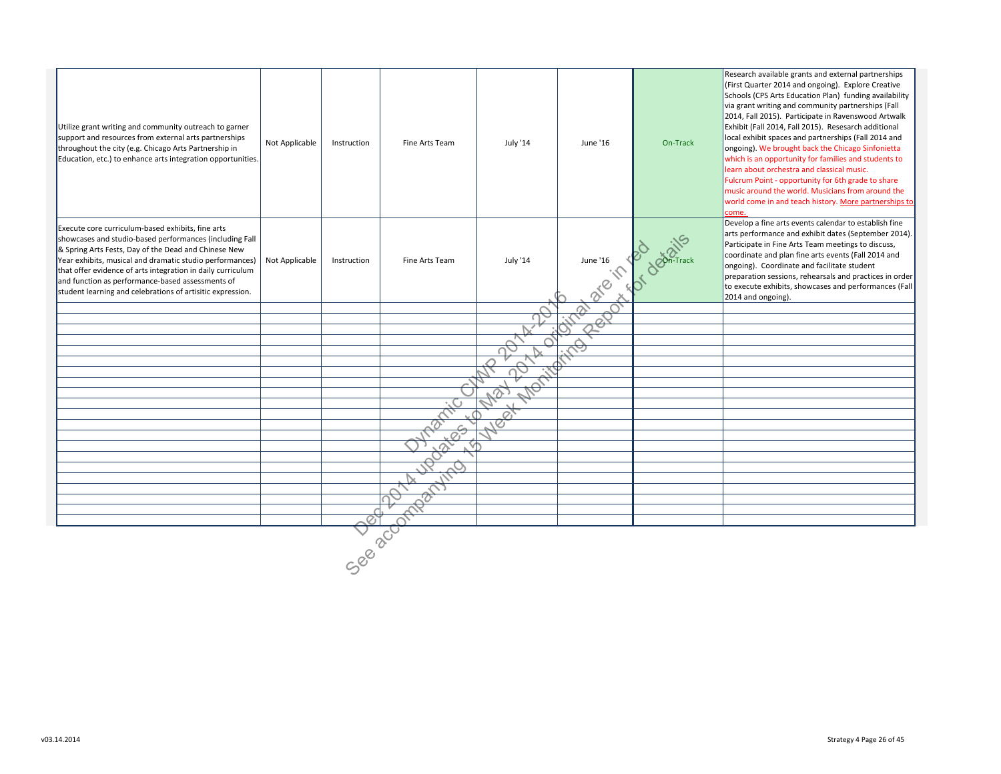| Utilize grant writing and community outreach to garner<br>support and resources from external arts partnerships<br>throughout the city (e.g. Chicago Arts Partnership in<br>Education, etc.) to enhance arts integration opportunities.                                                                                                                                                                           | Not Applicable | Instruction              | Fine Arts Team | July '14       | June '16    | On-Track | Research available grants and external partnerships<br>(First Quarter 2014 and ongoing). Explore Creative<br>Schools (CPS Arts Education Plan) funding availability<br>via grant writing and community partnerships (Fall<br>2014, Fall 2015). Participate in Ravenswood Artwalk<br>Exhibit (Fall 2014, Fall 2015). Resesarch additional<br>local exhibit spaces and partnerships (Fall 2014 and<br>ongoing). We brought back the Chicago Sinfonietta<br>which is an opportunity for families and students to<br>learn about orchestra and classical music.<br>Fulcrum Point - opportunity for 6th grade to share<br>music around the world. Musicians from around the<br>world come in and teach history. More partnerships to<br>come. |
|-------------------------------------------------------------------------------------------------------------------------------------------------------------------------------------------------------------------------------------------------------------------------------------------------------------------------------------------------------------------------------------------------------------------|----------------|--------------------------|----------------|----------------|-------------|----------|------------------------------------------------------------------------------------------------------------------------------------------------------------------------------------------------------------------------------------------------------------------------------------------------------------------------------------------------------------------------------------------------------------------------------------------------------------------------------------------------------------------------------------------------------------------------------------------------------------------------------------------------------------------------------------------------------------------------------------------|
| Execute core curriculum-based exhibits, fine arts<br>showcases and studio-based performances (including Fall<br>& Spring Arts Fests, Day of the Dead and Chinese New<br>Year exhibits, musical and dramatic studio performances)<br>that offer evidence of arts integration in daily curriculum<br>and function as performance-based assessments of<br>student learning and celebrations of artisitic expression. | Not Applicable | Instruction              | Fine Arts Team | July '14       |             | June '16 | Develop a fine arts events calendar to establish fine<br>arts performance and exhibit dates (September 2014).<br>Participate in Fine Arts Team meetings to discuss,<br>coordinate and plan fine arts events (Fall 2014 and<br>ongoing). Coordinate and facilitate student<br>preparation sessions, rehearsals and practices in order<br>to execute exhibits, showcases and performances (Fall<br>2014 and ongoing).                                                                                                                                                                                                                                                                                                                      |
|                                                                                                                                                                                                                                                                                                                                                                                                                   |                |                          |                |                | <b>RBOT</b> |          |                                                                                                                                                                                                                                                                                                                                                                                                                                                                                                                                                                                                                                                                                                                                          |
|                                                                                                                                                                                                                                                                                                                                                                                                                   |                |                          |                |                |             |          |                                                                                                                                                                                                                                                                                                                                                                                                                                                                                                                                                                                                                                                                                                                                          |
|                                                                                                                                                                                                                                                                                                                                                                                                                   |                |                          |                |                |             |          |                                                                                                                                                                                                                                                                                                                                                                                                                                                                                                                                                                                                                                                                                                                                          |
|                                                                                                                                                                                                                                                                                                                                                                                                                   |                |                          |                | $\overline{C}$ |             |          |                                                                                                                                                                                                                                                                                                                                                                                                                                                                                                                                                                                                                                                                                                                                          |
|                                                                                                                                                                                                                                                                                                                                                                                                                   |                |                          |                | ್              |             |          |                                                                                                                                                                                                                                                                                                                                                                                                                                                                                                                                                                                                                                                                                                                                          |
|                                                                                                                                                                                                                                                                                                                                                                                                                   |                |                          |                |                |             |          |                                                                                                                                                                                                                                                                                                                                                                                                                                                                                                                                                                                                                                                                                                                                          |
|                                                                                                                                                                                                                                                                                                                                                                                                                   |                |                          |                |                |             |          |                                                                                                                                                                                                                                                                                                                                                                                                                                                                                                                                                                                                                                                                                                                                          |
|                                                                                                                                                                                                                                                                                                                                                                                                                   |                |                          |                |                |             |          |                                                                                                                                                                                                                                                                                                                                                                                                                                                                                                                                                                                                                                                                                                                                          |
|                                                                                                                                                                                                                                                                                                                                                                                                                   |                | $\overline{\mathcal{O}}$ |                |                |             |          |                                                                                                                                                                                                                                                                                                                                                                                                                                                                                                                                                                                                                                                                                                                                          |
|                                                                                                                                                                                                                                                                                                                                                                                                                   |                |                          | 820            |                |             |          |                                                                                                                                                                                                                                                                                                                                                                                                                                                                                                                                                                                                                                                                                                                                          |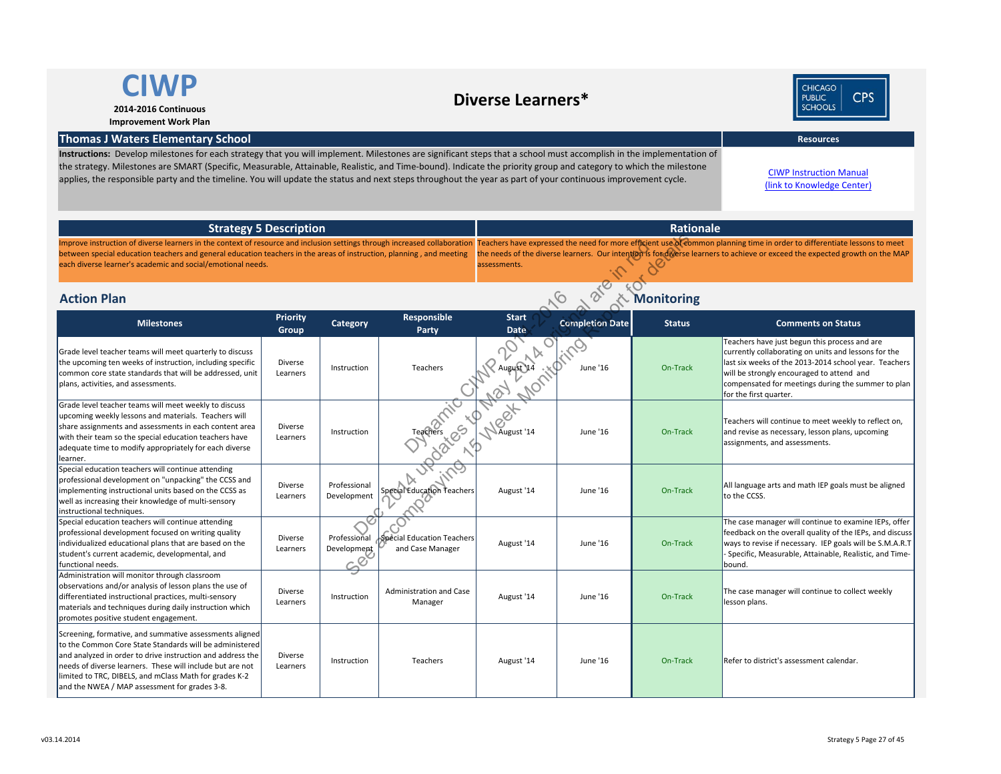| 2014-2016 Continuous<br><b>Improvement Work Plan</b>                                                                                                                                                                                                                                                                                                                                                                                                                                                     |                                                              |                                       | <b>CHICAGO</b><br><b>CPS</b><br><b>PUBLIC</b><br><b>SCHOOLS</b> |                             |                        |                   |                                                                                                                                                                                                                                                                                             |
|----------------------------------------------------------------------------------------------------------------------------------------------------------------------------------------------------------------------------------------------------------------------------------------------------------------------------------------------------------------------------------------------------------------------------------------------------------------------------------------------------------|--------------------------------------------------------------|---------------------------------------|-----------------------------------------------------------------|-----------------------------|------------------------|-------------------|---------------------------------------------------------------------------------------------------------------------------------------------------------------------------------------------------------------------------------------------------------------------------------------------|
| <b>Thomas J Waters Elementary School</b>                                                                                                                                                                                                                                                                                                                                                                                                                                                                 |                                                              |                                       |                                                                 |                             |                        |                   | <b>Resources</b>                                                                                                                                                                                                                                                                            |
| Instructions: Develop milestones for each strategy that you will implement. Milestones are significant steps that a school must accomplish in the implementation of<br>the strategy. Milestones are SMART (Specific, Measurable, Attainable, Realistic, and Time-bound). Indicate the priority group and category to which the milestone<br>applies, the responsible party and the timeline. You will update the status and next steps throughout the year as part of your continuous improvement cycle. | <b>CIWP Instruction Manual</b><br>(link to Knowledge Center) |                                       |                                                                 |                             |                        |                   |                                                                                                                                                                                                                                                                                             |
| <b>Strategy 5 Description</b>                                                                                                                                                                                                                                                                                                                                                                                                                                                                            |                                                              |                                       |                                                                 |                             |                        | <b>Rationale</b>  |                                                                                                                                                                                                                                                                                             |
| Improve instruction of diverse learners in the context of resource and inclusion settings through increased collaboration Teachers have expressed the need for more efficient use of common planning time in order to differen                                                                                                                                                                                                                                                                           |                                                              |                                       |                                                                 |                             |                        |                   |                                                                                                                                                                                                                                                                                             |
| between special education teachers and general education teachers in the areas of instruction, planning, and meeting<br>each diverse learner's academic and social/emotional needs.                                                                                                                                                                                                                                                                                                                      |                                                              |                                       |                                                                 | assessments.                |                        |                   | the needs of the diverse learners. Our intention is for diverse learners to achieve or exceed the expected growth on the MAP                                                                                                                                                                |
| <b>Action Plan</b>                                                                                                                                                                                                                                                                                                                                                                                                                                                                                       |                                                              |                                       |                                                                 |                             | $\sqrt{6}$             | <b>Monitoring</b> |                                                                                                                                                                                                                                                                                             |
| <b>Milestones</b>                                                                                                                                                                                                                                                                                                                                                                                                                                                                                        | <b>Priority</b><br>Group                                     | Category                              | Responsible<br>Party                                            | <b>Start</b><br><b>Date</b> | <b>Completion Date</b> | <b>Status</b>     | <b>Comments on Status</b>                                                                                                                                                                                                                                                                   |
| Grade level teacher teams will meet quarterly to discuss<br>the upcoming ten weeks of instruction, including specific<br>common core state standards that will be addressed, unit<br>plans, activities, and assessments.                                                                                                                                                                                                                                                                                 | Diverse<br>Learners                                          | Instruction                           | Teachers                                                        |                             | June '16               | On-Track          | Teachers have just begun this process and are<br>currently collaborating on units and lessons for the<br>last six weeks of the 2013-2014 school year. Teachers<br>will be strongly encouraged to attend and<br>compensated for meetings during the summer to plan<br>for the first quarter. |
| Grade level teacher teams will meet weekly to discuss<br>upcoming weekly lessons and materials. Teachers will<br>share assignments and assessments in each content area<br>with their team so the special education teachers have<br>adequate time to modify appropriately for each diverse<br>llearner.                                                                                                                                                                                                 | Diverse<br>Learners                                          | Instruction                           | Readers 2012 Miles K                                            | De Citera                   | June '16               | On-Track          | Teachers will continue to meet weekly to reflect on,<br>and revise as necessary, lesson plans, upcoming<br>assignments, and assessments.                                                                                                                                                    |
| Special education teachers will continue attending<br>professional development on "unpacking" the CCSS and<br>implementing instructional units based on the CCSS as<br>well as increasing their knowledge of multi-sensory<br>instructional techniques.                                                                                                                                                                                                                                                  | Diverse<br>Learners                                          | Professional<br>Development           | Special Education Teachers                                      | August '14                  | June '16               | On-Track          | All language arts and math IEP goals must be aligned<br>to the CCSS.                                                                                                                                                                                                                        |
| Special education teachers will continue attending<br>professional development focused on writing quality<br>individualized educational plans that are based on the<br>student's current academic, developmental, and<br>functional needs.                                                                                                                                                                                                                                                               | Diverse<br>Learners                                          | Professional<br>Development<br>$\phi$ | Special Education Teachers<br>and Case Manager                  | August '14                  | June '16               | On-Track          | The case manager will continue to examine IEPs, offer<br>feedback on the overall quality of the IEPs, and discuss<br>ways to revise if necessary. IEP goals will be S.M.A.R.T<br>- Specific, Measurable, Attainable, Realistic, and Time-<br>bound.                                         |
| Administration will monitor through classroom<br>observations and/or analysis of lesson plans the use of<br>differentiated instructional practices, multi-sensory<br>materials and techniques during daily instruction which<br>promotes positive student engagement.                                                                                                                                                                                                                                    | Diverse<br>Learners                                          | Instruction                           | Administration and Case<br>Manager                              | August '14                  | June '16               | On-Track          | The case manager will continue to collect weekly<br>lesson plans.                                                                                                                                                                                                                           |
| Screening, formative, and summative assessments aligned<br>to the Common Core State Standards will be administered<br>and analyzed in order to drive instruction and address the<br>needs of diverse learners. These will include but are not<br>limited to TRC, DIBELS, and mClass Math for grades K-2<br>and the NWEA / MAP assessment for grades 3-8.                                                                                                                                                 | Diverse<br>Learners                                          | Instruction                           | Teachers                                                        | August '14                  | June '16               | On-Track          | Refer to district's assessment calendar.                                                                                                                                                                                                                                                    |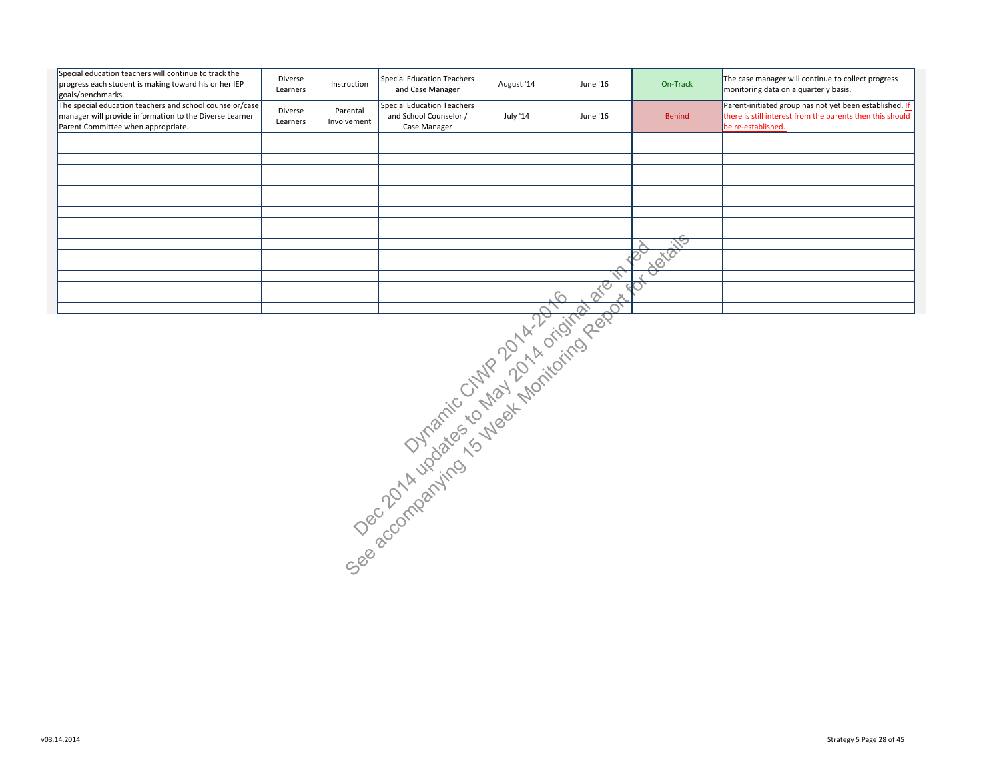| Special education teachers will continue to track the<br>progress each student is making toward his or her IEP<br>goals/benchmarks.                       | Diverse<br>Learners | Instruction             | Special Education Teachers<br>and Case Manager                       | August '14 | June '16        | On-Track            | The case manager will continue to collect progress<br>monitoring data on a quarterly basis.                                                |
|-----------------------------------------------------------------------------------------------------------------------------------------------------------|---------------------|-------------------------|----------------------------------------------------------------------|------------|-----------------|---------------------|--------------------------------------------------------------------------------------------------------------------------------------------|
| The special education teachers and school counselor/case<br>manager will provide information to the Diverse Learner<br>Parent Committee when appropriate. | Diverse<br>Learners | Parental<br>Involvement | Special Education Teachers<br>and School Counselor /<br>Case Manager | July '14   | June '16        | <b>Behind</b>       | Parent-initiated group has not yet been established. If<br>there is still interest from the parents then this should<br>be re-established. |
|                                                                                                                                                           |                     |                         |                                                                      |            |                 |                     |                                                                                                                                            |
|                                                                                                                                                           |                     |                         |                                                                      |            |                 |                     |                                                                                                                                            |
|                                                                                                                                                           |                     |                         |                                                                      |            |                 |                     |                                                                                                                                            |
|                                                                                                                                                           |                     |                         |                                                                      |            |                 |                     |                                                                                                                                            |
|                                                                                                                                                           |                     |                         |                                                                      |            |                 |                     |                                                                                                                                            |
|                                                                                                                                                           |                     |                         |                                                                      |            |                 | ឃ                   |                                                                                                                                            |
|                                                                                                                                                           |                     |                         |                                                                      |            |                 | ৼ৵<br>$\frac{1}{2}$ |                                                                                                                                            |
|                                                                                                                                                           |                     |                         |                                                                      |            | $\mathcal{S}_i$ |                     |                                                                                                                                            |
|                                                                                                                                                           |                     |                         |                                                                      | $\sim$     | ⌒               |                     |                                                                                                                                            |

Outpartic City of 2014-2016 See 2017 paramic company or A digital are in the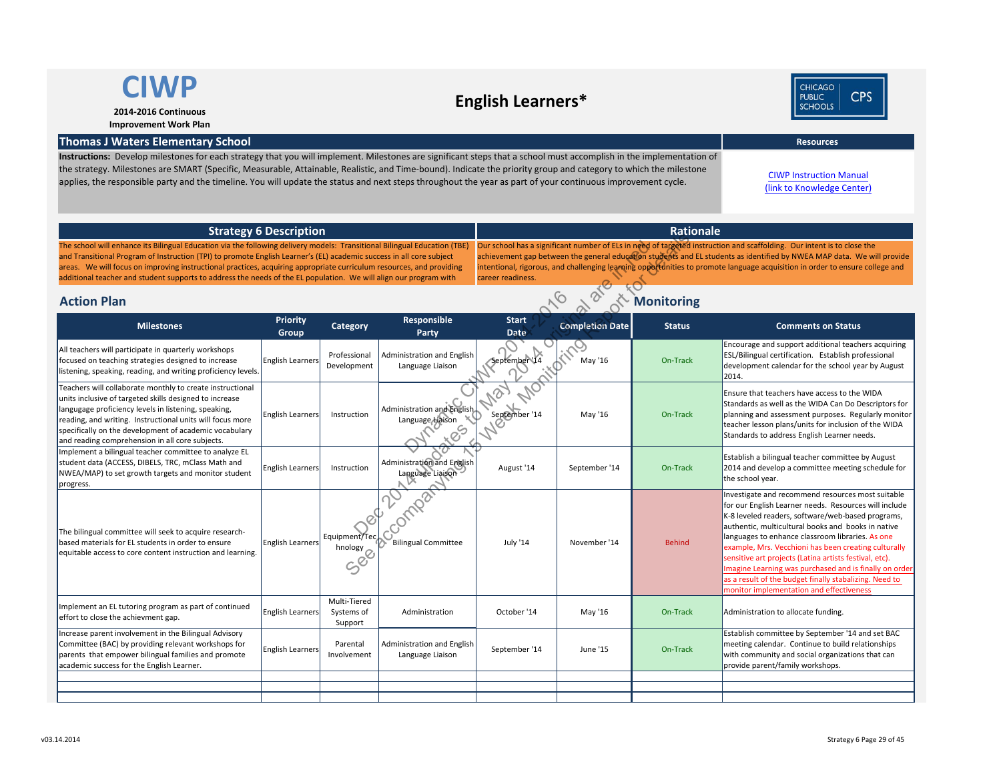| <b>CIWP</b><br>2014-2016 Continuous<br><b>Improvement Work Plan</b> | <b>English Learners*</b>                                                                                                                                                                                                                                                                                                                                                                                                                                                                                 | CHICAGO<br><b>CPS</b><br>SCHOOLS                             |
|---------------------------------------------------------------------|----------------------------------------------------------------------------------------------------------------------------------------------------------------------------------------------------------------------------------------------------------------------------------------------------------------------------------------------------------------------------------------------------------------------------------------------------------------------------------------------------------|--------------------------------------------------------------|
| <b>Thomas J Waters Elementary School</b>                            |                                                                                                                                                                                                                                                                                                                                                                                                                                                                                                          | <b>Resources</b>                                             |
|                                                                     | Instructions: Develop milestones for each strategy that you will implement. Milestones are significant steps that a school must accomplish in the implementation of<br>the strategy. Milestones are SMART (Specific, Measurable, Attainable, Realistic, and Time-bound). Indicate the priority group and category to which the milestone<br>applies, the responsible party and the timeline. You will update the status and next steps throughout the year as part of your continuous improvement cycle. | <b>CIWP Instruction Manual</b><br>(link to Knowledge Center) |

### **Strategy 6 Description Rationale Rationale Rationale** *Rationale* **Rationale**

| The school will enhance its Bilingual Education via the following delivery models: Transitional Bilingual Education (TBE)<br>and Transitional Program of Instruction (TPI) to promote English Learner's (EL) academic success in all core subject<br>areas. We will focus on improving instructional practices, acquiring appropriate curriculum resources, and providing<br>additional teacher and student supports to address the needs of the EL population. We will align our program with |                         | Our school has a significant number of ELs in need of targeted instruction and scaffolding. Our intent is to close the<br>achievement gap between the general education students and EL students as identified by NWEA MAP data. We will provide<br>intentional, rigorous, and challenging learning opportunities to promote language acquisition in order to ensure college and<br>career readiness. |                                                |                      |                        |                   |                                                                                                                                                                                                                                                                                                                                                                                                                                                                                                                                                             |
|------------------------------------------------------------------------------------------------------------------------------------------------------------------------------------------------------------------------------------------------------------------------------------------------------------------------------------------------------------------------------------------------------------------------------------------------------------------------------------------------|-------------------------|-------------------------------------------------------------------------------------------------------------------------------------------------------------------------------------------------------------------------------------------------------------------------------------------------------------------------------------------------------------------------------------------------------|------------------------------------------------|----------------------|------------------------|-------------------|-------------------------------------------------------------------------------------------------------------------------------------------------------------------------------------------------------------------------------------------------------------------------------------------------------------------------------------------------------------------------------------------------------------------------------------------------------------------------------------------------------------------------------------------------------------|
| <b>Action Plan</b>                                                                                                                                                                                                                                                                                                                                                                                                                                                                             |                         |                                                                                                                                                                                                                                                                                                                                                                                                       |                                                |                      | 218<br>16              | <b>Monitoring</b> |                                                                                                                                                                                                                                                                                                                                                                                                                                                                                                                                                             |
| <b>Milestones</b>                                                                                                                                                                                                                                                                                                                                                                                                                                                                              | Priority<br>Group       | Category                                                                                                                                                                                                                                                                                                                                                                                              | Responsible<br>Party                           | <b>Start</b><br>Date | <b>Completion Date</b> | <b>Status</b>     | <b>Comments on Status</b>                                                                                                                                                                                                                                                                                                                                                                                                                                                                                                                                   |
| All teachers will participate in quarterly workshops<br>focused on teaching strategies designed to increase<br>listening, speaking, reading, and writing proficiency levels.                                                                                                                                                                                                                                                                                                                   | <b>English Learners</b> | Professional<br>Development                                                                                                                                                                                                                                                                                                                                                                           | Administration and English<br>Language Liaison | September 14         | May '16                | On-Track          | Encourage and support additional teachers acquiring<br>ESL/Bilingual certification. Establish professional<br>development calendar for the school year by August<br>2014.                                                                                                                                                                                                                                                                                                                                                                                   |
| Teachers will collaborate monthly to create instructional<br>units inclusive of targeted skills designed to increase<br>langugage proficiency levels in listening, speaking,<br>reading, and writing. Instructional units will focus more<br>specifically on the development of academic vocabulary<br>and reading comprehension in all core subjects.                                                                                                                                         | <b>English Learners</b> | Instruction                                                                                                                                                                                                                                                                                                                                                                                           | Administration and English<br>Language Liaison | September '14        | May '16                | On-Track          | Ensure that teachers have access to the WIDA<br>Standards as well as the WIDA Can Do Descriptors for<br>planning and assessment purposes. Regularly monitor<br>teacher lesson plans/units for inclusion of the WIDA<br>Standards to address English Learner needs.                                                                                                                                                                                                                                                                                          |
| Implement a bilingual teacher committee to analyze EL<br>student data (ACCESS, DIBELS, TRC, mClass Math and<br>NWEA/MAP) to set growth targets and monitor student<br>progress.                                                                                                                                                                                                                                                                                                                | <b>English Learners</b> | Instruction                                                                                                                                                                                                                                                                                                                                                                                           | Administration and English<br>Language Liaison | August '14           | September '14          | On-Track          | Establish a bilingual teacher committee by August<br>2014 and develop a committee meeting schedule for<br>the school year.                                                                                                                                                                                                                                                                                                                                                                                                                                  |
| The bilingual committee will seek to acquire research-<br>based materials for EL students in order to ensure<br>equitable access to core content instruction and learning.                                                                                                                                                                                                                                                                                                                     | English Learners        | Equipment/Tec <sub>1</sub><br>hnology                                                                                                                                                                                                                                                                                                                                                                 | Bilingual Committee                            | July '14             | November '14           | <b>Behind</b>     | Investigate and recommend resources most suitable<br>for our English Learner needs. Resources will include<br>K-8 leveled readers, software/web-based programs,<br>authentic, multicultural books and books in native<br>languages to enhance classroom libraries. As one<br>example, Mrs. Vecchioni has been creating culturally<br>sensitive art projects (Latina artists festival, etc).<br>Imagine Learning was purchased and is finally on order<br>as a result of the budget finally stabalizing. Need to<br>monitor implementation and effectiveness |
| Implement an EL tutoring program as part of continued<br>effort to close the achievment gap.                                                                                                                                                                                                                                                                                                                                                                                                   | <b>English Learners</b> | Multi-Tiered<br>Systems of<br>Support                                                                                                                                                                                                                                                                                                                                                                 | Administration                                 | October '14          | May '16                | On-Track          | Administration to allocate funding.                                                                                                                                                                                                                                                                                                                                                                                                                                                                                                                         |
| Increase parent involvement in the Bilingual Advisory<br>Committee (BAC) by providing relevant workshops for<br>parents that empower bilingual families and promote<br>academic success for the English Learner.                                                                                                                                                                                                                                                                               | <b>English Learners</b> | Parental<br>Involvement                                                                                                                                                                                                                                                                                                                                                                               | Administration and English<br>Language Liaison | September '14        | June '15               | On-Track          | Establish committee by September '14 and set BAC<br>meeting calendar. Continue to build relationships<br>with community and social organizations that can<br>provide parent/family workshops.                                                                                                                                                                                                                                                                                                                                                               |
|                                                                                                                                                                                                                                                                                                                                                                                                                                                                                                |                         |                                                                                                                                                                                                                                                                                                                                                                                                       |                                                |                      |                        |                   |                                                                                                                                                                                                                                                                                                                                                                                                                                                                                                                                                             |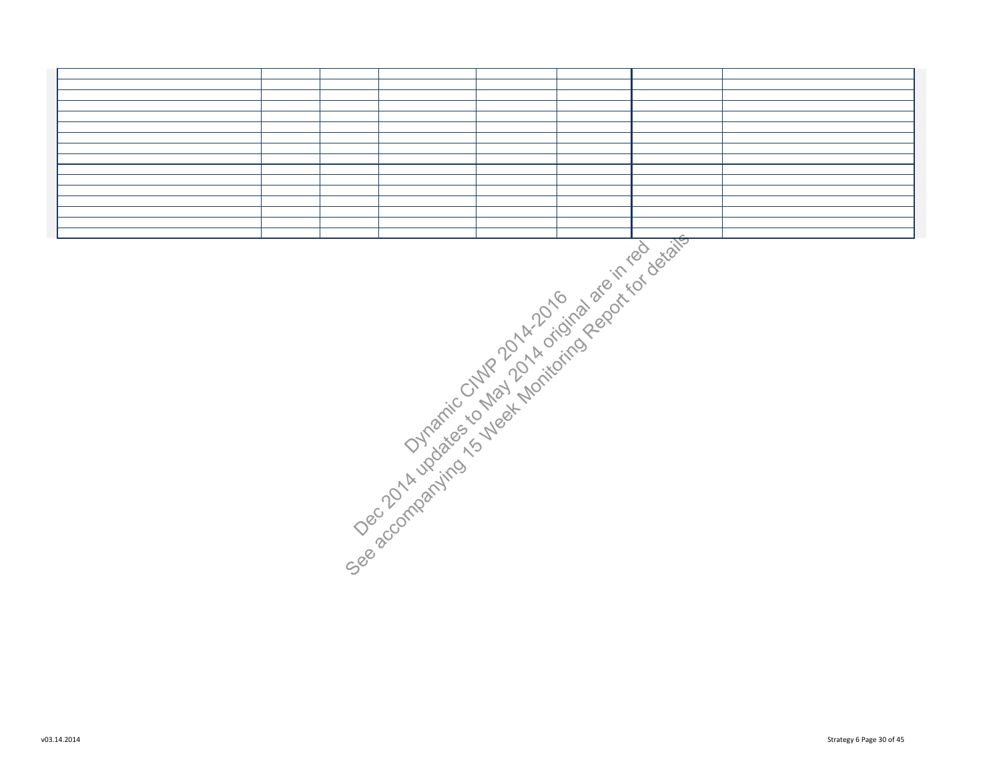|  | Gee 2014 Actions (2014 Advisoring Assistant Colorador) |  |  |  |
|--|--------------------------------------------------------|--|--|--|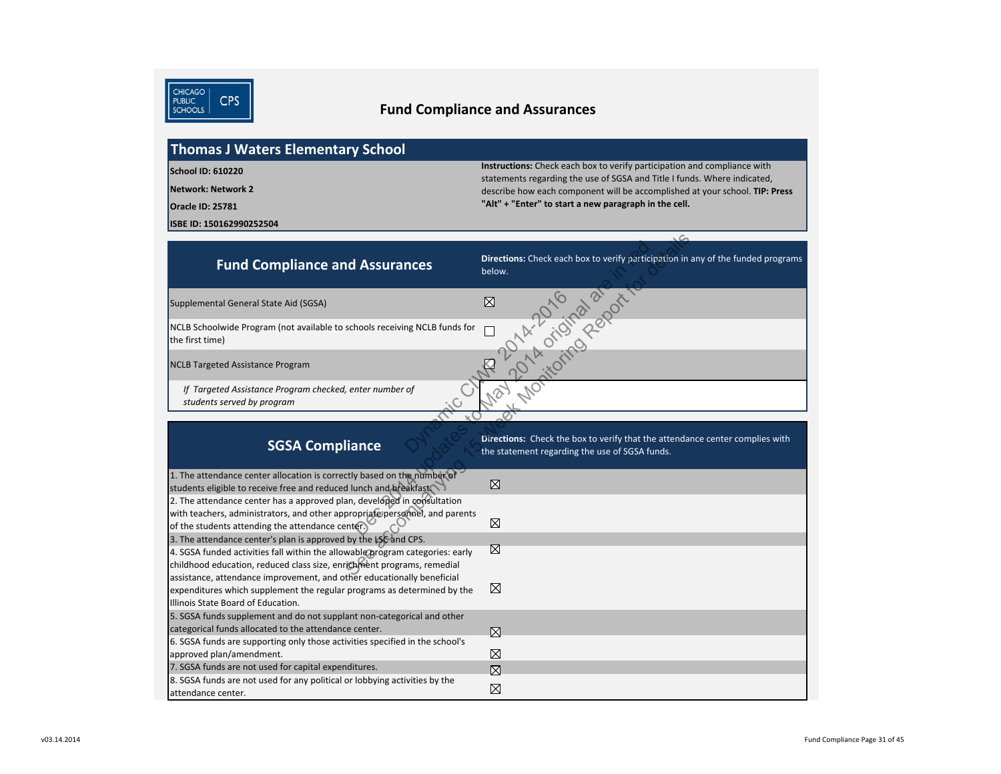

## **Fund Compliance and Assurances**

## **Thomas J Waters Elementary School**

**School ID: 610220**

**Network: Network 2** 

**Oracle ID: 25781**

**ISBE ID: 150162990252504**

**Instructions:** Check each box to verify participation and compliance with statements regarding the use of SGSA and Title I funds. Where indicated, describe how each component will be accomplished at your school. TIP: Press "Alt" + "Enter" to start a new paragraph in the cell.

|                                                                                               | . Co                                                                                                                           |
|-----------------------------------------------------------------------------------------------|--------------------------------------------------------------------------------------------------------------------------------|
| <b>Fund Compliance and Assurances</b>                                                         | Directions: Check each box to verify participation in any of the funded programs<br>PAR 2014-2016 Report                       |
| Supplemental General State Aid (SGSA)                                                         |                                                                                                                                |
| NCLB Schoolwide Program (not available to schools receiving NCLB funds for<br>the first time) |                                                                                                                                |
| <b>NCLB Targeted Assistance Program</b>                                                       |                                                                                                                                |
| If Targeted Assistance Program checked, enter number of<br>students served by program         |                                                                                                                                |
|                                                                                               |                                                                                                                                |
| <b>SGSA Compliance</b>                                                                        | Directions: Check the box to verify that the attendance center complies with<br>the statement regarding the use of SGSA funds. |
| 1. The attendance center allocation is correctly based on the number of                       |                                                                                                                                |
| students eligible to receive free and reduced lunch and breakfast                             | $\boxtimes$                                                                                                                    |
| 2. The attendance center has a approved plan, developed in consultation                       |                                                                                                                                |
| with teachers, administrators, and other appropriate personnel, and parents                   |                                                                                                                                |
| of the students attending the attendance center.)                                             | $\boxtimes$                                                                                                                    |
| 3. The attendance center's plan is approved by the LSC and CPS.                               |                                                                                                                                |
| 4. SGSA funded activities fall within the allowable program categories: early                 | ⊠                                                                                                                              |
| childhood education, reduced class size, enrichment programs, remedial                        |                                                                                                                                |
| assistance, attendance improvement, and other educationally beneficial                        |                                                                                                                                |
| expenditures which supplement the regular programs as determined by the                       | ⊠                                                                                                                              |
| Illinois State Board of Education.                                                            |                                                                                                                                |
| 5. SGSA funds supplement and do not supplant non-categorical and other                        |                                                                                                                                |
| categorical funds allocated to the attendance center.                                         | ⊠                                                                                                                              |
| 6. SGSA funds are supporting only those activities specified in the school's                  |                                                                                                                                |
| approved plan/amendment.                                                                      | ⊠                                                                                                                              |
| 7. SGSA funds are not used for capital expenditures.                                          | ⊠                                                                                                                              |
| 8. SGSA funds are not used for any political or lobbying activities by the                    | $\boxtimes$                                                                                                                    |
| attendance center.                                                                            |                                                                                                                                |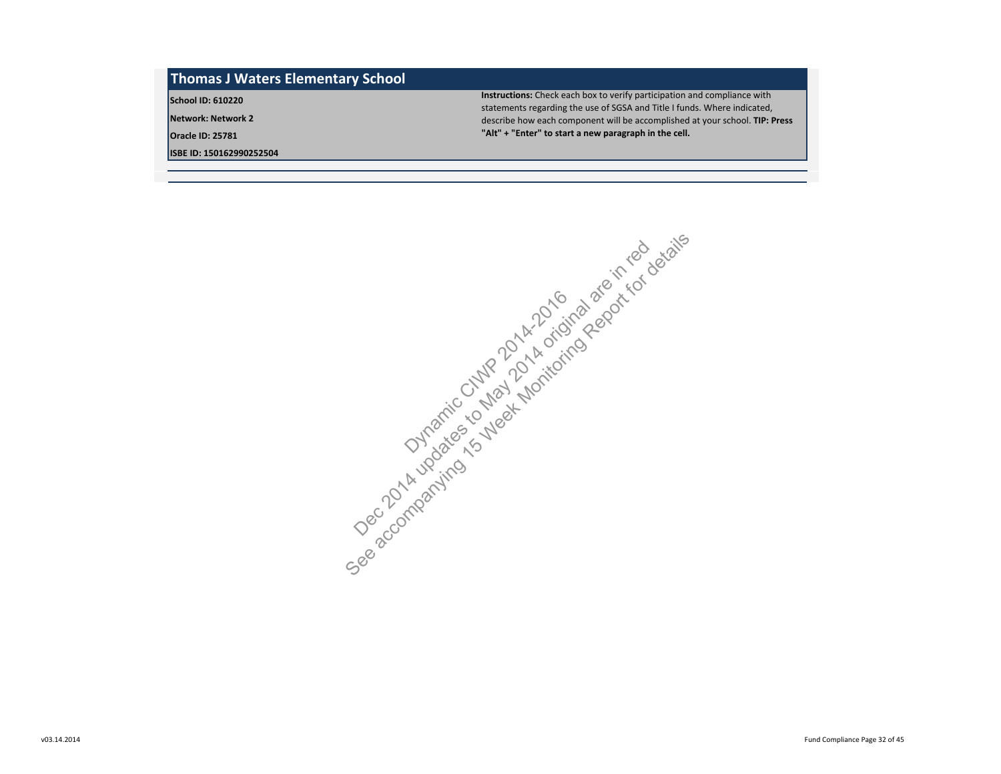**School ID: 610220**

**Network: Network 2** 

**Oracle ID: 25781**

**ISBE ID: 150162990252504**

**Instructions:** Check each box to verify participation and compliance with statements regarding the use of SGSA and Title I funds. Where indicated, describe how each component will be accomplished at your school. TIP: Press "Alt" + "Enter" to start a new paragraph in the cell.

Outpartic Cityle 2014-2016 See of the article of May 2014 original are in red datails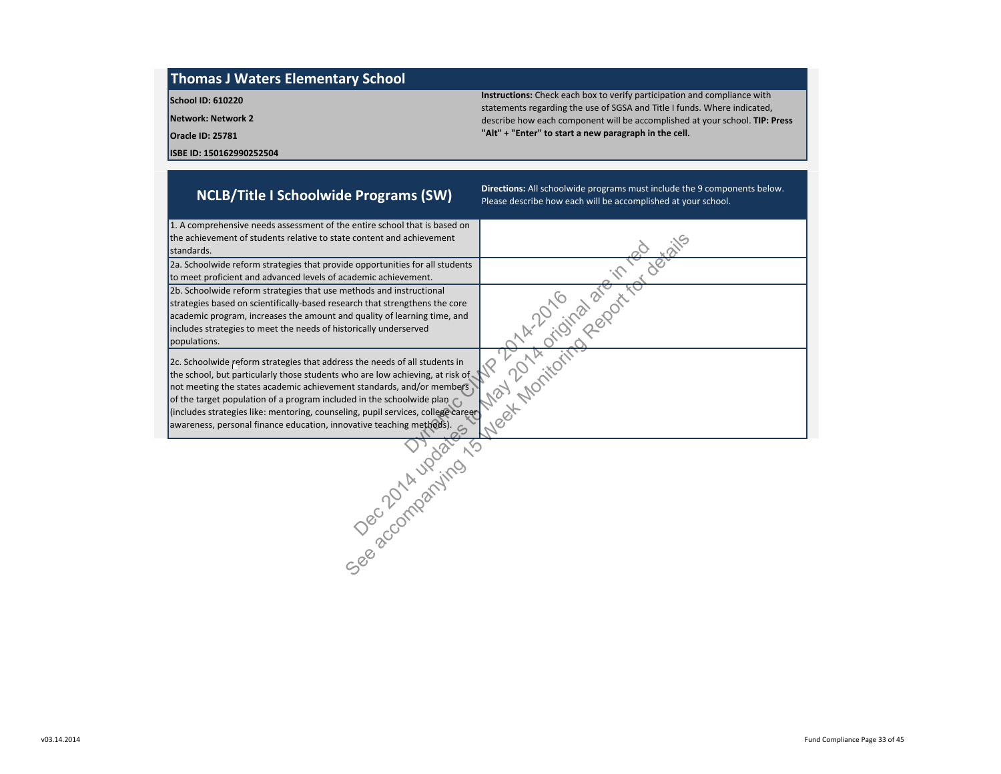#### **School ID: 610220**

**Network: Network 2** 

**Oracle ID: 25781**

**ISBE ID: 150162990252504**

**Instructions:** Check each box to verify participation and compliance with statements regarding the use of SGSA and Title I funds. Where indicated, describe how each component will be accomplished at your school. TIP: Press "Alt" + "Enter" to start a new paragraph in the cell.

**NCLB/Title I Schoolwide Programs (SW)** Directions: All schoolwide programs must include the 9 components below. Please describe how each will be accomplished at your school.

 $\vert$ 1. A comprehensive needs assessment of the entire school that is based on the achievement of students relative to state content and achievement standards.

2a. Schoolwide reform strategies that provide opportunities for all students to meet proficient and advanced levels of academic achievement.

2b. Schoolwide reform strategies that use methods and instructional strategies based on scientifically-based research that strengthens the core academic program, increases the amount and quality of learning time, and includes strategies to meet the needs of historically underserved populations. 

2c. Schoolwide reform strategies that address the needs of all students in the school, but particularly those students who are low achieving, at risk of  $\vert$  not meeting the states academic achievement standards, and/or members of the target population of a program included in the schoolwide plan  $\epsilon_1$ (includes strategies like: mentoring, counseling, pupil services, college career<br>awareness, personal finance education, innovative teaching methods).<br>And the collection of the collection of the collection of the collection  $a$ wareness, personal finance education, innovative teaching methods).  $c$ 

Exercicional<br>
Exercicional<br>
Exercise of the structure of the structure of the structure of the structure of the structure of the structure<br>
In all students in<br>
The structure plan control of the structure of the structure o e content and achievement<br>
de opportunities for all students<br>
cademic achievement.<br>
arch that strengthes the core<br>
arch that strengthes the core<br>
of duality of learning time, and<br>
forcially underserved<br>
six the needs of al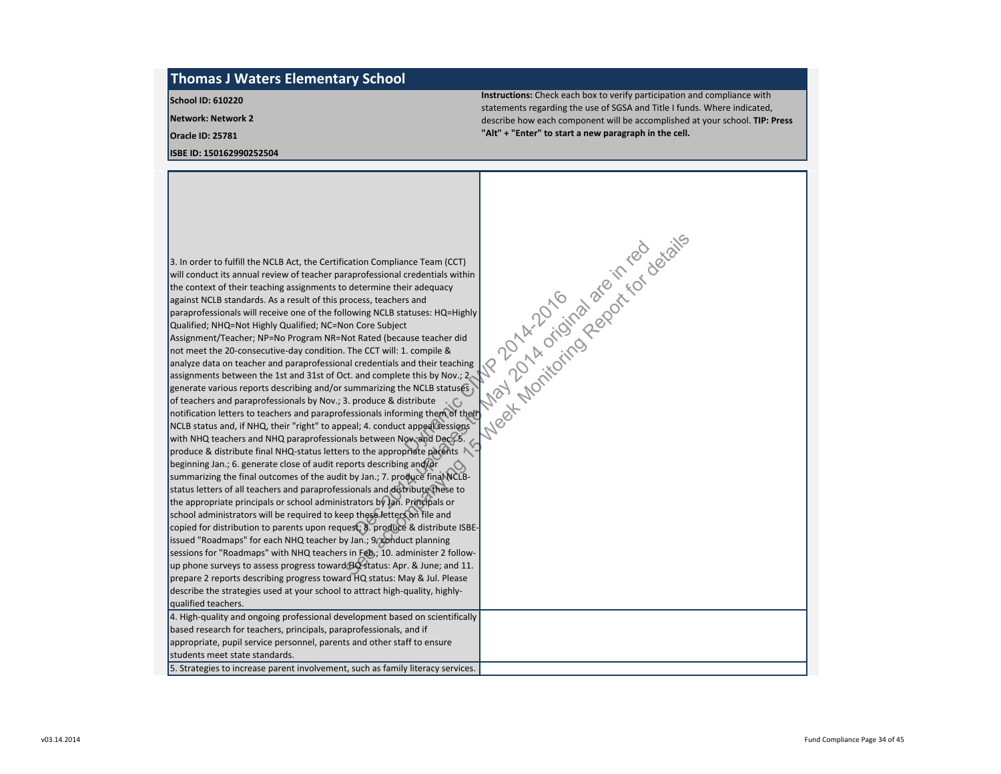**School ID: 610220**

**Network: Network 2** 

**Oracle ID: 25781**

**ISBE ID: 150162990252504**

**Instructions:** Check each box to verify participation and compliance with statements regarding the use of SGSA and Title I funds. Where indicated, describe how each component will be accomplished at your school. TIP: Press "Alt" + "Enter" to start a new paragraph in the cell.

4. High-quality and ongoing professional development based on scientifically based research for teachers, principals, paraprofessionals, and if appropriate, pupil service personnel, parents and other staff to ensure students meet state standards. 5. Strategies to increase parent involvement, such as family literacy services.  $\vert$ 3. In order to fulfill the NCLB Act, the Certification Compliance Team (CCT) will conduct its annual review of teacher paraprofessional credentials within the context of their teaching assignments to determine their adequacy against NCLB standards. As a result of this process, teachers and paraprofessionals will receive one of the following NCLB statuses: HQ=Highly Qualified; NHQ=Not Highly Qualified; NC=Non Core Subject Assignment/Teacher; NP=No Program NR=Not Rated (because teacher did Inot meet the 20-consecutive-day condition. The CCT will: 1. compile & analyze data on teacher and paraprofessional credentials and their teaching assignments between the 1st and 31st of Oct. and complete this by Nov.; 2.  $\left|$  generate various reports describing and/or summarizing the NCLB statuses of teachers and paraprofessionals by Nov.; 3. produce  $&$  distribute notification letters to teachers and paraprofessionals informing them of their NCLB status and, if NHQ, their "right" to appeal; 4. conduct appeal sessions with NHQ teachers and NHQ paraprofessionals between Nov. and Dec.; 5 produce & distribute final NHQ-status letters to the appropriate parents beginning Jan.; 6. generate close of audit reports describing and/or summarizing the final outcomes of the audit by Jan.; 7. produce final NCLBstatus letters of all teachers and paraprofessionals and distribute these to the appropriate principals or school administrators by Jan. Principals or school administrators will be required to keep these letters on file and copied for distribution to parents upon request; 8. produce & distribute ISBE- $\frac{1}{1}$  issued "Roadmaps" for each NHQ teacher by Jan.; 9. conduct planning sessions for "Roadmaps" with NHQ teachers in Feb.; 10. administer 2 followup phone surveys to assess progress toward  $\overline{\text{HQ}}$  status: Apr. & June; and 11. prepare 2 reports describing progress toward HQ status: May & Jul. Please describe the strategies used at your school to attract high-quality, highlyqualified teachers. The model of the model of the model of the model of the model of the model of the model of the model of the model of the model of the model of the model of the model of the model of the model of the model of the model of t cation Compilance Team (CCT)<br>
raprofessional credentials within<br>
decremente their adequacy<br>
rootes, teachers and<br>
lowing NCLB statuses: HQ=Highly<br>
on Core Subject<br>
to Radel (because teacher did<br>
The CCT will: 1. compile &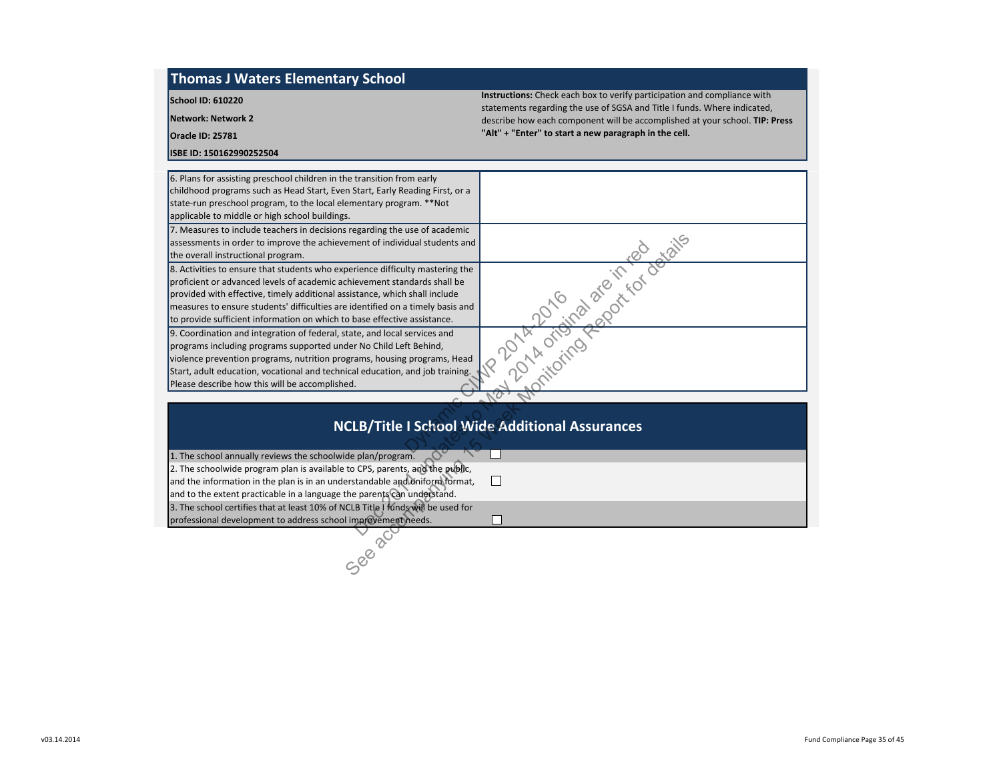| <b>Thomas J Waters Elementary School</b>                                                                                                    |                                                                                                                                                         |
|---------------------------------------------------------------------------------------------------------------------------------------------|---------------------------------------------------------------------------------------------------------------------------------------------------------|
| <b>School ID: 610220</b>                                                                                                                    | Instructions: Check each box to verify participation and compliance with                                                                                |
| Network: Network 2                                                                                                                          | statements regarding the use of SGSA and Title I funds. Where indicated,<br>describe how each component will be accomplished at your school. TIP: Press |
| Oracle ID: 25781                                                                                                                            | "Alt" + "Enter" to start a new paragraph in the cell.                                                                                                   |
|                                                                                                                                             |                                                                                                                                                         |
| ISBE ID: 150162990252504                                                                                                                    |                                                                                                                                                         |
| 6. Plans for assisting preschool children in the transition from early                                                                      |                                                                                                                                                         |
| childhood programs such as Head Start, Even Start, Early Reading First, or a                                                                |                                                                                                                                                         |
| state-run preschool program, to the local elementary program. **Not                                                                         |                                                                                                                                                         |
| applicable to middle or high school buildings.                                                                                              |                                                                                                                                                         |
| 7. Measures to include teachers in decisions regarding the use of academic                                                                  |                                                                                                                                                         |
| assessments in order to improve the achievement of individual students and                                                                  |                                                                                                                                                         |
| the overall instructional program.                                                                                                          |                                                                                                                                                         |
| 8. Activities to ensure that students who experience difficulty mastering the                                                               |                                                                                                                                                         |
| proficient or advanced levels of academic achievement standards shall be                                                                    |                                                                                                                                                         |
| provided with effective, timely additional assistance, which shall include                                                                  |                                                                                                                                                         |
| measures to ensure students' difficulties are identified on a timely basis and                                                              |                                                                                                                                                         |
| to provide sufficient information on which to base effective assistance.                                                                    |                                                                                                                                                         |
| 9. Coordination and integration of federal, state, and local services and                                                                   |                                                                                                                                                         |
| programs including programs supported under No Child Left Behind,                                                                           |                                                                                                                                                         |
| violence prevention programs, nutrition programs, housing programs, Head                                                                    |                                                                                                                                                         |
| Start, adult education, vocational and technical education, and job training.                                                               |                                                                                                                                                         |
| Please describe how this will be accomplished.                                                                                              |                                                                                                                                                         |
|                                                                                                                                             | MP 2014 original area in red grains                                                                                                                     |
|                                                                                                                                             |                                                                                                                                                         |
|                                                                                                                                             | <b>NCLB/Title I School Wide Additional Assurances</b>                                                                                                   |
|                                                                                                                                             |                                                                                                                                                         |
| 1. The school annually reviews the schoolwide plan/program.<br>2. The schoolwide program plan is available to CPS, parents, and the public, |                                                                                                                                                         |
| and the information in the plan is in an understandable and uniform format,                                                                 |                                                                                                                                                         |
| and to the extent practicable in a language the parents can understand.                                                                     |                                                                                                                                                         |
| 3. The school certifies that at least 10% of NCLB Title I funds will be used for                                                            |                                                                                                                                                         |
| professional development to address school improvement needs.                                                                               |                                                                                                                                                         |
|                                                                                                                                             |                                                                                                                                                         |
|                                                                                                                                             |                                                                                                                                                         |
|                                                                                                                                             |                                                                                                                                                         |
|                                                                                                                                             |                                                                                                                                                         |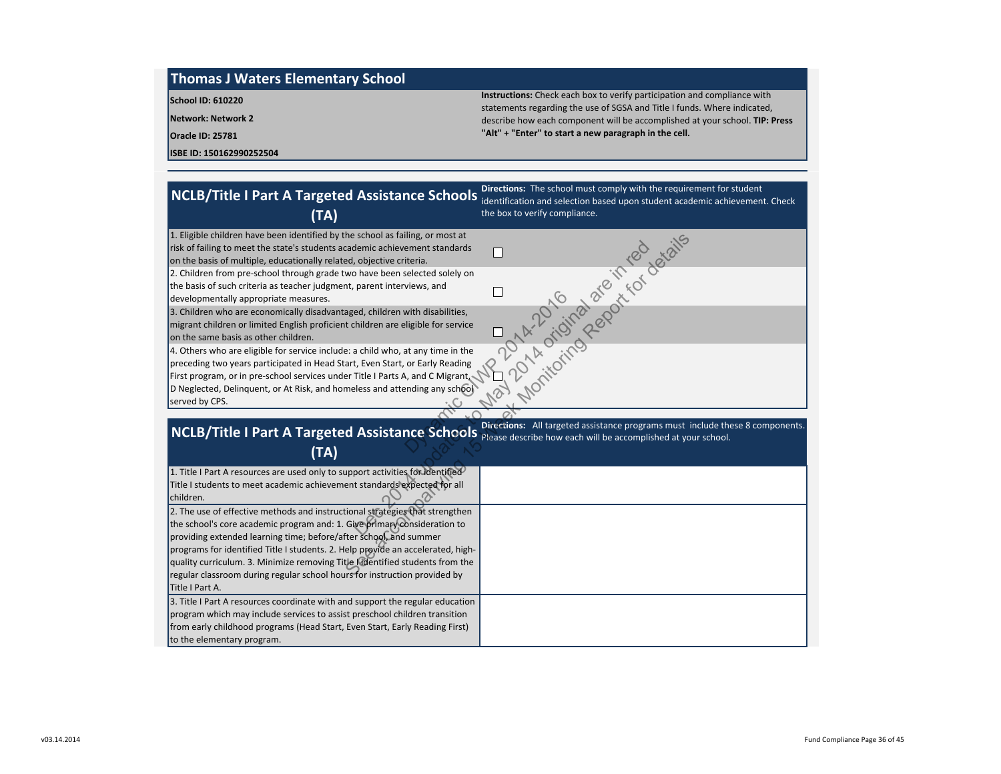#### **School ID: 610220**

#### **Network: Network 2**

**Oracle ID: 25781**

**ISBE ID: 150162990252504**

**Instructions:** Check each box to verify participation and compliance with statements regarding the use of SGSA and Title I funds. Where indicated, describe how each component will be accomplished at your school. TIP: Press "Alt" + "Enter" to start a new paragraph in the cell.

 $\mathcal{O}_n$ 

 $O^*$ 

### **NCLB/Title I Part A Targeted Assistance Schools** Directions: The school must comply with the requirement for student **and the completed** Assistance Schools identification and selection based upon student academic achievem **(TA)** identification and selection based upon student academic achievement. Check

the box to verify compliance.

1. Eligible children have been identified by the school as failing, or most at risk of failing to meet the state's students academic achievement standards on the basis of multiple, educationally related, objective criteria.

2. Children from pre-school through grade two have been selected solely on the basis of such criteria as teacher judgment, parent interviews, and developmentally appropriate measures.

 $\vert$ 3. Children who are economically disadvantaged, children with disabilities, migrant children or limited English proficient children are eligible for service on the same basis as other children.

4. Others who are eligible for service include: a child who, at any time in the preceding two years participated in Head Start, Even Start, or Early Reading First program, or in pre-school services under Title I Parts A, and C Migrant, D Neglected, Delinquent, or At Risk, and homeless and attending any school served by CPS. With disabilities,<br>
eligible for service<br>
at any time in the<br>
or Early Reading<br>
A, and C Migrant,<br>
and C Migrant,<br>
and C Migrant,<br>
and C Migrant,<br>
and C Migrant,<br>
and C Migrant,<br>
and C Migrant,<br>
and C Migrant,<br>
and C Migra

**NCLB/Title I Part A Targeted Assistance Schools** Please describe how each will be accomplished at your school. **Directions:** All targeted assistance programs must include these 8 components.

### **(TA)**

1. Title I Part A resources are used only to support activities for identified Title I students to meet academic achievement standards expected for all children. 2. The use of effective methods and instructional strategies that strengthen the school's core academic program and: 1. Give primary consideration to providing extended learning time; before/after school, and summer programs for identified Title I students. 2. Help provide an accelerated, highquality curriculum. 3. Minimize removing Title I identified students from the regular classroom during regular school hours for instruction provided by **Title I Part A.** 3. Title I Part A resources coordinate with and support the regular education program which may include services to assist preschool children transition from early childhood programs (Head Start, Even Start, Early Reading First) to the elementary program. exercity and the control are the strategies that strengthen in the strategies that strengthen in red are in red and the company shows that the control are eligible for service and are eligible for service and the control m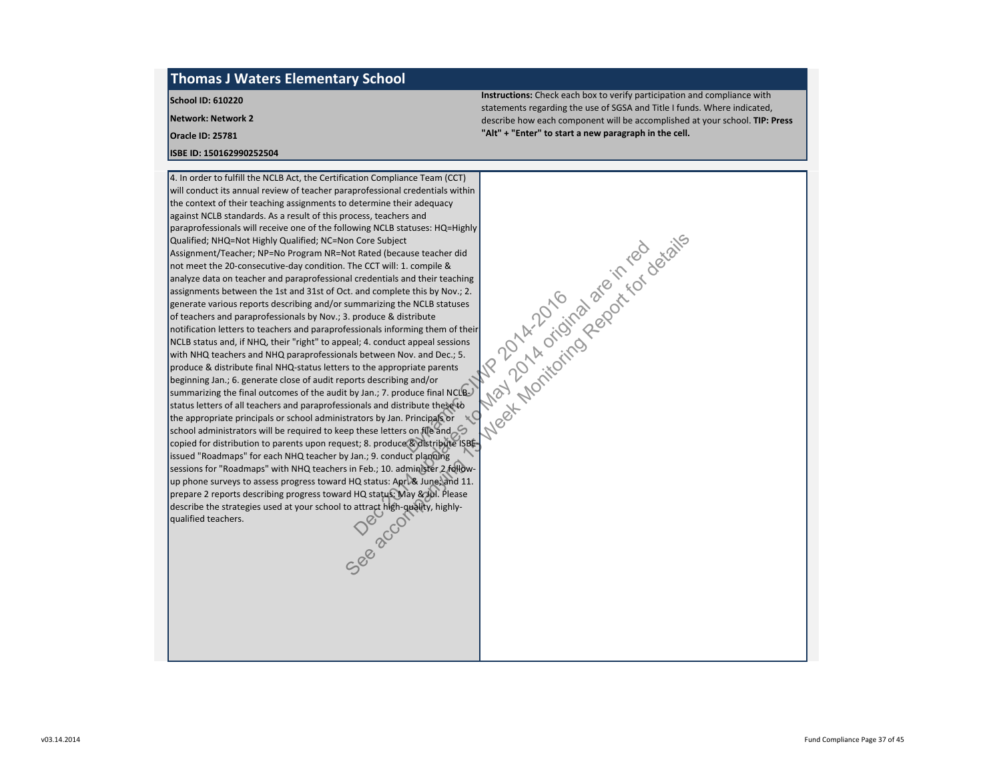**School ID: 610220**

**Network: Network 2** 

**Oracle ID: 25781**

**ISBE ID: 150162990252504**

 $\vert$ 4. In order to fulfill the NCLB Act, the Certification Compliance Team (CCT) will conduct its annual review of teacher paraprofessional credentials within the context of their teaching assignments to determine their adequacy against NCLB standards. As a result of this process, teachers and paraprofessionals will receive one of the following NCLB statuses: HQ=Highly Qualified; NHQ=Not Highly Qualified; NC=Non Core Subject Assignment/Teacher; NP=No Program NR=Not Rated (because teacher did  $\vert$  not meet the 20-consecutive-day condition. The CCT will: 1. compile & analyze data on teacher and paraprofessional credentials and their teaching assignments between the 1st and 31st of Oct. and complete this by Nov.; 2.  $\alpha$  generate various reports describing and/or summarizing the NCLB statuses  $\alpha$  of teachers and paraprofessionals by Nov.; 3. produce & distribute notification letters to teachers and paraprofessionals informing them of their NCLB status and, if NHQ, their "right" to appeal; 4. conduct appeal sessions with NHQ teachers and NHQ paraprofessionals between Nov. and Dec.; 5.  $\beta$  produce & distribute final NHQ-status letters to the appropriate parents beginning Jan.; 6. generate close of audit reports describing and/or summarizing the final outcomes of the audit by Jan.; 7. produce final NCLB-J status letters of all teachers and paraprofessionals and distribute these to the appropriate principals or school administrators by Jan. Principals or school administrators will be required to keep these letters on file and copied for distribution to parents upon request; 8. produce & distribute ISBE-Issued "Roadmaps" for each NHQ teacher by Jan.; 9. conduct planning sessions for "Roadmaps" with NHQ teachers in Feb.; 10. administer 2 followup phone surveys to assess progress toward HQ status: Apr. & June; and 11. prepare 2 reports describing progress toward HQ status: May & Jul. Please describe the strategies used at your school to attract high-quality, highlyqualified teachers.

**Instructions:** Check each box to verify participation and compliance with statements regarding the use of SGSA and Title I funds. Where indicated, describe how each component will be accomplished at your school. TIP: Press "Alt" + "Enter" to start a new paragraph in the cell.

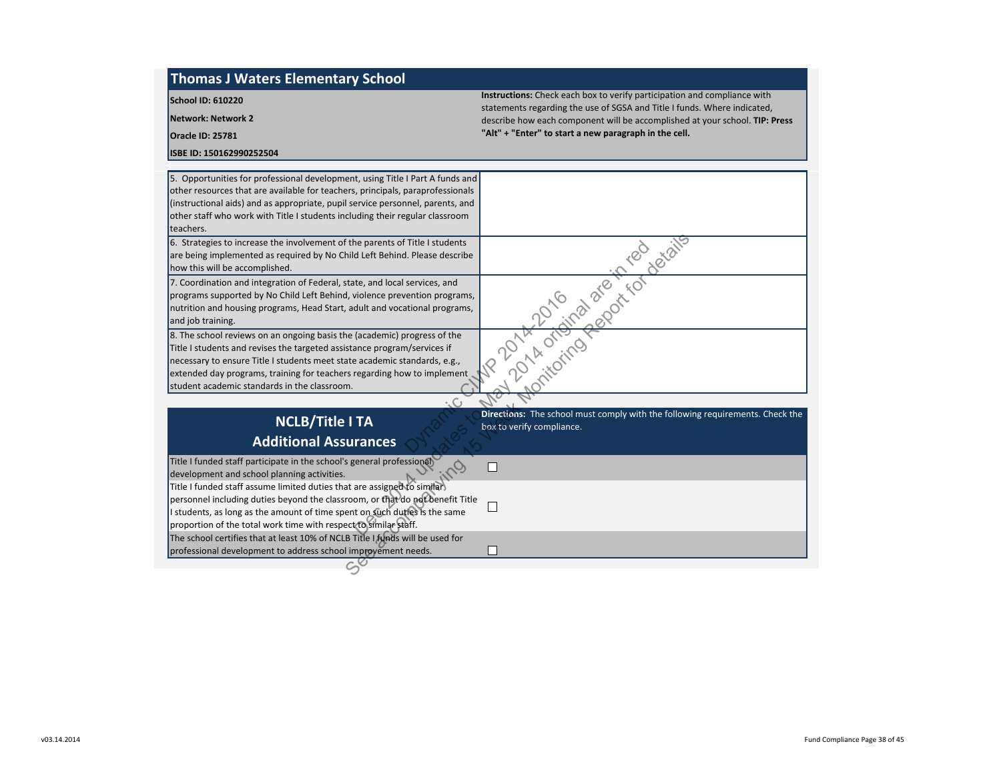| <b>Thomas J Waters Elementary School</b>                                       |                                                                                                                                      |
|--------------------------------------------------------------------------------|--------------------------------------------------------------------------------------------------------------------------------------|
| <b>School ID: 610220</b>                                                       | Instructions: Check each box to verify participation and compliance with                                                             |
| Network: Network 2                                                             | statements regarding the use of SGSA and Title I funds. Where indicated,                                                             |
|                                                                                | describe how each component will be accomplished at your school. TIP: Press<br>"Alt" + "Enter" to start a new paragraph in the cell. |
| Oracle ID: 25781                                                               |                                                                                                                                      |
| ISBE ID: 150162990252504                                                       |                                                                                                                                      |
| 5. Opportunities for professional development, using Title I Part A funds and  |                                                                                                                                      |
| other resources that are available for teachers, principals, paraprofessionals |                                                                                                                                      |
| (instructional aids) and as appropriate, pupil service personnel, parents, and |                                                                                                                                      |
| other staff who work with Title I students including their regular classroom   |                                                                                                                                      |
| teachers.                                                                      |                                                                                                                                      |
| 6. Strategies to increase the involvement of the parents of Title I students   |                                                                                                                                      |
| are being implemented as required by No Child Left Behind. Please describe     |                                                                                                                                      |
| how this will be accomplished.                                                 |                                                                                                                                      |
| 7. Coordination and integration of Federal, state, and local services, and     |                                                                                                                                      |
| programs supported by No Child Left Behind, violence prevention programs,      |                                                                                                                                      |
| nutrition and housing programs, Head Start, adult and vocational programs,     |                                                                                                                                      |
| and job training.                                                              |                                                                                                                                      |
| 8. The school reviews on an ongoing basis the (academic) progress of the       |                                                                                                                                      |
| Title I students and revises the targeted assistance program/services if       |                                                                                                                                      |
| necessary to ensure Title I students meet state academic standards, e.g.,      |                                                                                                                                      |
| extended day programs, training for teachers regarding how to implement        |                                                                                                                                      |
| student academic standards in the classroom.                                   |                                                                                                                                      |
| $\cdot$ , $C_1$                                                                | MP 2014 original epoch for began                                                                                                     |
| <b>NCLB/Title I TA</b>                                                         | Directions: The school must comply with the following requirements. Check the<br>box to verify compliance.                           |
| <b>Additional Assurances</b>                                                   |                                                                                                                                      |
| Title I funded staff participate in the school's general professional          |                                                                                                                                      |
| development and school planning activities.                                    |                                                                                                                                      |
| Title I funded staff assume limited duties that are assigned to simitar        |                                                                                                                                      |
| personnel including duties beyond the classroom, or that do not benefit Title  |                                                                                                                                      |
| I students, as long as the amount of time spent on such duties is the same     |                                                                                                                                      |
| proportion of the total work time with respect to similar staff.               |                                                                                                                                      |
| The school certifies that at least 10% of NCLB Title I funds will be used for  |                                                                                                                                      |
| professional development to address school improvement needs.                  |                                                                                                                                      |
|                                                                                |                                                                                                                                      |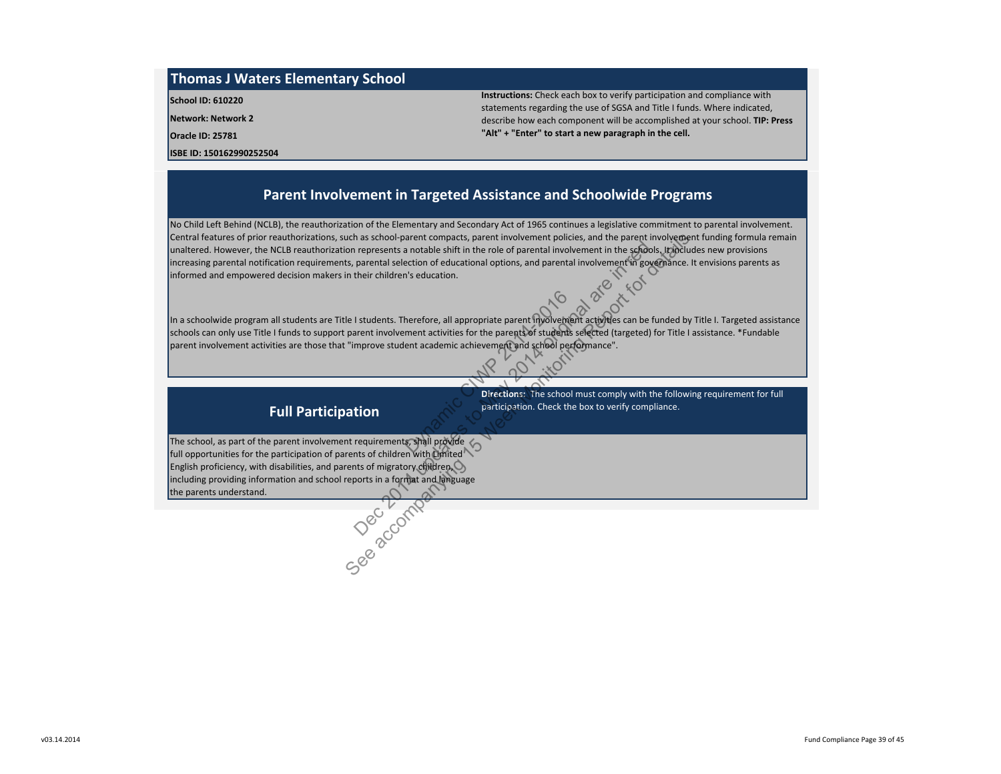#### **School ID: 610220**

**Network: Network 2** 

**Oracle ID: 25781**

**ISBE ID: 150162990252504**

**Instructions:** Check each box to verify participation and compliance with statements regarding the use of SGSA and Title I funds. Where indicated, describe how each component will be accomplished at your school. TIP: Press "Alt" + "Enter" to start a new paragraph in the cell.

### **Parent Involvement in Targeted Assistance and Schoolwide Programs**

No Child Left Behind (NCLB), the reauthorization of the Elementary and Secondary Act of 1965 continues a legislative commitment to parental involvement. Central features of prior reauthorizations, such as school-parent compacts, parent involvement policies, and the parent involvement funding formula remain unaltered. However, the NCLB reauthorization represents a notable shift in the role of parental involvement in the schools. It includes new provisions increasing parental notification requirements, parental selection of educational options, and parental involvement in governance. It envisions parents as informed and empowered decision makers in their children's education. New Concernstraints and the red of the matter in the red of the parent involvement in the specifies to the parent in the red of parent in the red of parent in the red of parent in the red of parent in the red of totational

In a schoolwide program all students are Title I students. Therefore, all appropriate parent involvement activities can be funded by Title I. Targeted assistance schools can only use Title I funds to support parent involvement activities for the parents of students selected (targeted) for Title I assistance. \*Fundable parent involvement activities are those that "improve student academic achievement and school performance". Experience, all appropriate parent involvement<br>
ment activities for the parents of students is<br>
ent academic achievement and school performance<br>
Directions: The school participation. Check the<br>
spatial provide

## **Full Participation**

**Directions:** The school must comply with the following requirement for full participation. Check the box to verify compliance.

The school, as part of the parent involvement requirements, shall provide  $\Diamond$ full opportunities for the participation of parents of children with Limited  $\sim$ English proficiency, with disabilities, and parents of migratory children,  $\bigcirc$ including providing information and school reports in a format and language the parents understand.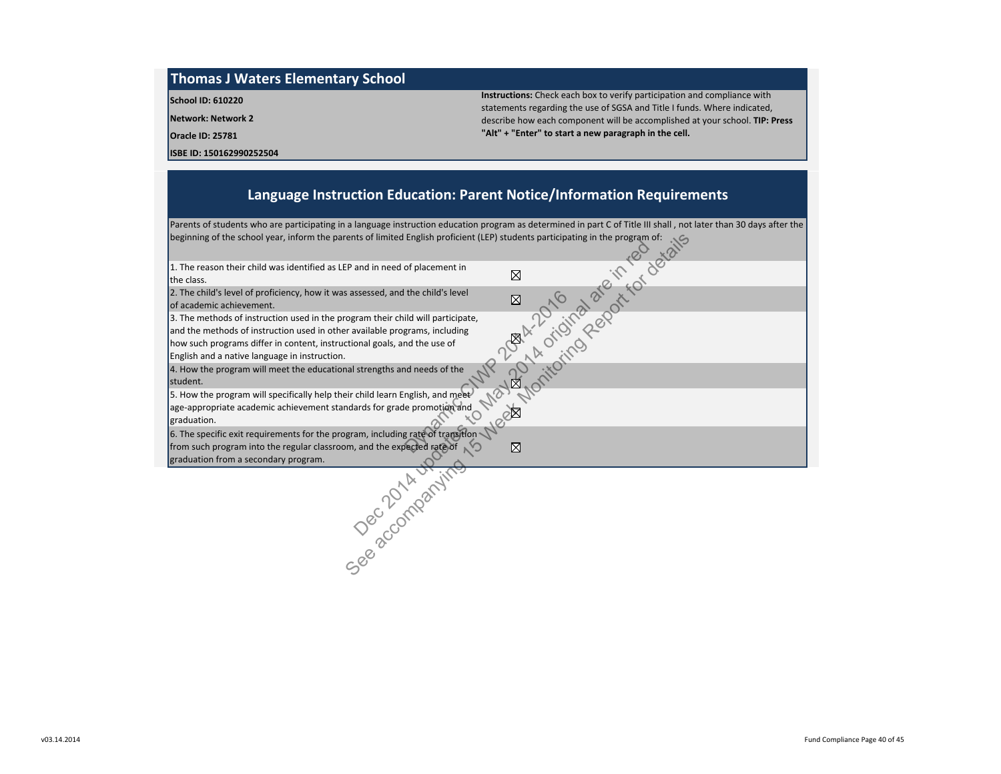#### **School ID: 610220**

**Network: Network 2** 

**Oracle ID: 25781**

**ISBE ID: 150162990252504**

**Instructions:** Check each box to verify participation and compliance with statements regarding the use of SGSA and Title I funds. Where indicated, describe how each component will be accomplished at your school. TIP: Press "Alt" + "Enter" to start a new paragraph in the cell.

### Language Instruction Education: Parent Notice/Information Requirements

Parents of students who are participating in a language instruction education program as determined in part C of Title III shall, not later than 30 days after the beginning of the school year, inform the parents of limited English proficient (LEP) students participating in the program of:

1. The reason their child was identified as LEP and in need of placement in  $\boxtimes$ 

2. The child's level of proficiency, how it was assessed, and the child's level  $\boxtimes$ 

3. The methods of instruction used in the program their child will participate, and the methods of instruction used in other available programs, including how such programs differ in content, instructional goals, and the use of English and a native language in instruction. the child's level<br>
ild will participate,<br>
grams, including<br>
and the use of<br>
and needs of the<br>
nglish, and meet<br>
e promotion and the contract of transition<br>
and recept transition<br>  $\frac{1}{2}$  and  $\frac{1}{2}$  and  $\frac{1}{2}$  and EP and in need of placement in<br>
EP and in need of placement in<br>
Sassessed, and the child's level<br>
cogram their child will participate,<br>
cogram their child will participate,<br>
cogram their child will participate,<br>
are in ch

4. How the program will meet the educational strengths and needs of the  $\mathbb{R}$ 

5. How the program will specifically help their child learn English, and meetage-appropriate academic achievement standards for grade promotion and graduation.

6. The specific exit requirements for the program, including rate of transition from such program into the regular classroom, and the expected rate of  $\sqrt{\phantom{a}}\$ From such program.<br>
Fraduation from a secondary program.<br>
COCOT NOON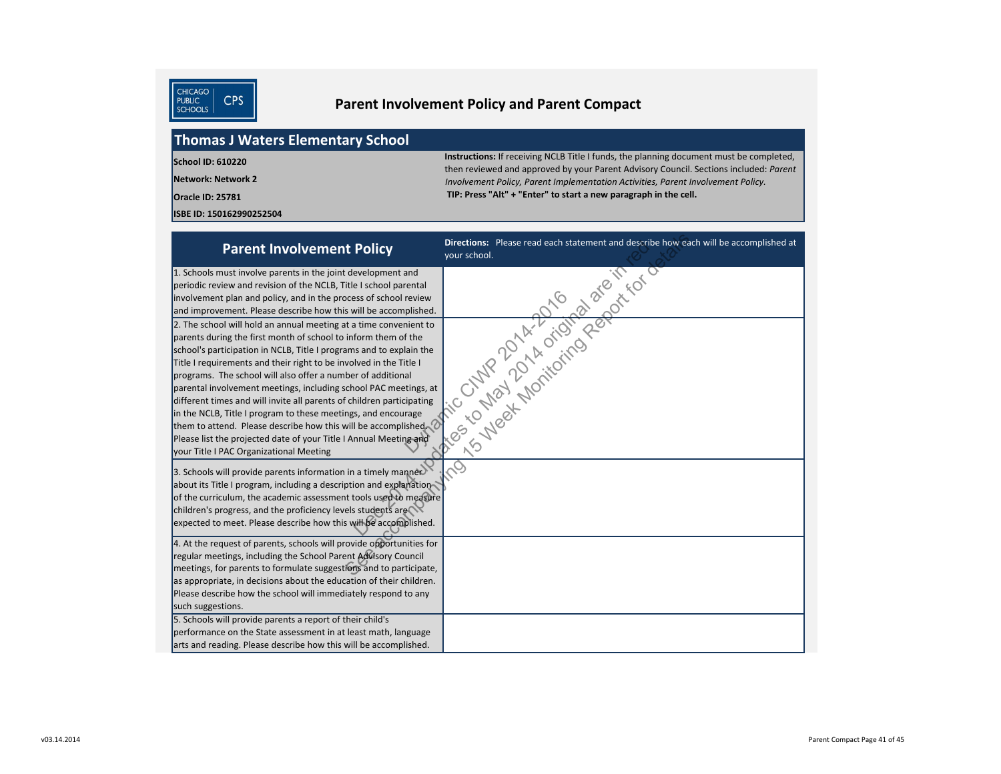

### **Parent Involvement Policy and Parent Compact**

**Instructions:** If receiving NCLB Title I funds, the planning document must be completed, then reviewed and approved by your Parent Advisory Council. Sections included: *Parent Involvement Policy, Parent Implementation Activities, Parent Involvement Policy.* 

TIP: Press "Alt" + "Enter" to start a new paragraph in the cell.

### **Thomas J Waters Elementary School**

**School ID: 610220**

**Network: Network 2** 

**Oracle ID: 25781**

**ISBE ID: 150162990252504**

**Parent Involvement Policy** Directions: Please read each statement and describe how each will be accomplished at **Propertient Collections:** Please read each statement and describe how each will be accomplished at 1. Schools must involve parents in the joint development and periodic review and revision of the NCLB, Title I school parental involvement plan and policy, and in the process of school review and improvement. Please describe how this will be accomplished. 2. The school will hold an annual meeting at a time convenient to parents during the first month of school to inform them of the school's participation in NCLB, Title I programs and to explain the Title I requirements and their right to be involved in the Title I programs. The school will also offer a number of additional parental involvement meetings, including school PAC meetings, at different times and will invite all parents of children participating in the NCLB, Title I program to these meetings, and encourage them to attend. Please describe how this will be accomplished.  $\oslash$ Please list the projected date of your Title I Annual Meeting and your Title I PAC Organizational Meeting 3. Schools will provide parents information in a timely manner about its Title I program, including a description and explanation of the curriculum, the academic assessment tools used to measure children's progress, and the proficiency levels students are expected to meet. Please describe how this will be accomplished. 4. At the request of parents, schools will provide opportunities for regular meetings, including the School Parent Advisory Council meetings, for parents to formulate suggestions and to participate, as appropriate, in decisions about the education of their children. Please describe how the school will immediately respond to any such suggestions. 5. Schools will provide parents a report of their child's performance on the State assessment in at least math, language arts and reading. Please describe how this will be accomplished. review<br>plished.<br>
The lain the<br>
lain the lain the<br>
al strings, at<br>
repeating completed and the lain of the completed and the completed and the completed and the completed of the<br>
range ished as the complete and the complete **t Policy**<br>  $\frac{1}{2}$  development and<br>  $\frac{1}{2}$  development and<br>  $\frac{1}{2}$  developmental<br>  $\frac{1}{2}$  are complished.<br>  $\frac{1}{2}$  are complished.<br>  $\frac{1}{2}$  and the complished.<br>  $\frac{1}{2}$  and  $\frac{1}{2}$  are  $\frac{1}{2}$  and  $\frac$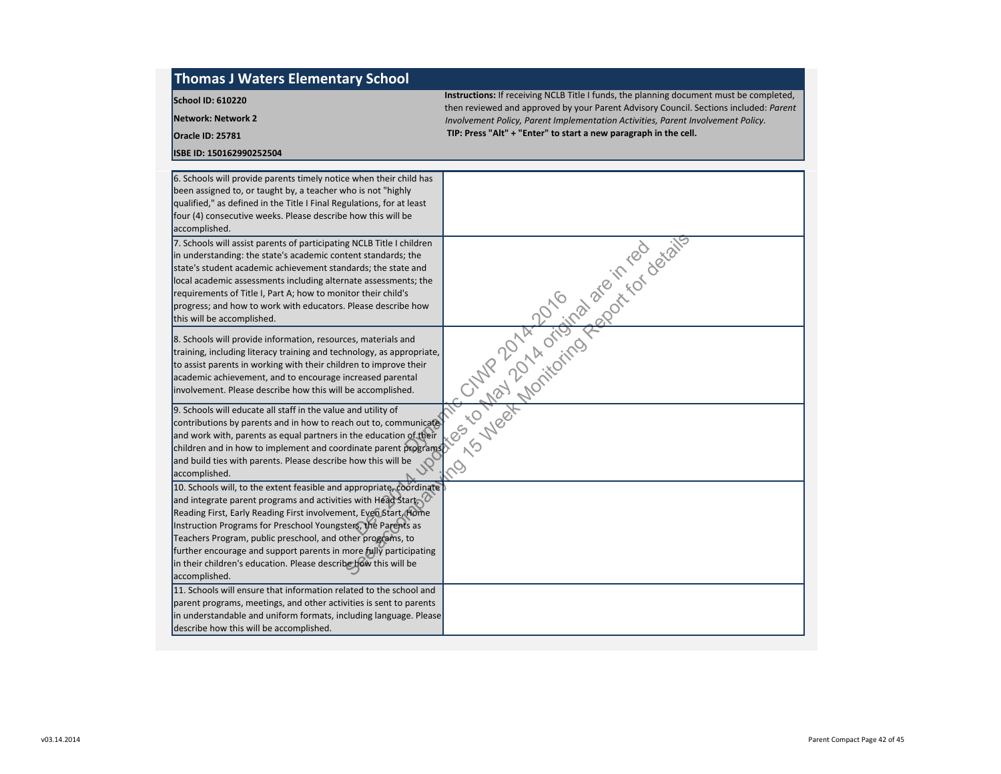| <b>Thomas J Waters Elementary School</b>                                                                                                                                                                                                                                                                                                                                                                                                                                                                    |                                                                                                                                                                           |
|-------------------------------------------------------------------------------------------------------------------------------------------------------------------------------------------------------------------------------------------------------------------------------------------------------------------------------------------------------------------------------------------------------------------------------------------------------------------------------------------------------------|---------------------------------------------------------------------------------------------------------------------------------------------------------------------------|
| <b>School ID: 610220</b>                                                                                                                                                                                                                                                                                                                                                                                                                                                                                    | Instructions: If receiving NCLB Title I funds, the planning document must be completed,                                                                                   |
| Network: Network 2                                                                                                                                                                                                                                                                                                                                                                                                                                                                                          | then reviewed and approved by your Parent Advisory Council. Sections included: Parent<br>Involvement Policy, Parent Implementation Activities, Parent Involvement Policy. |
| Oracle ID: 25781                                                                                                                                                                                                                                                                                                                                                                                                                                                                                            | TIP: Press "Alt" + "Enter" to start a new paragraph in the cell.                                                                                                          |
| ISBE ID: 150162990252504                                                                                                                                                                                                                                                                                                                                                                                                                                                                                    |                                                                                                                                                                           |
|                                                                                                                                                                                                                                                                                                                                                                                                                                                                                                             |                                                                                                                                                                           |
| 6. Schools will provide parents timely notice when their child has<br>been assigned to, or taught by, a teacher who is not "highly<br>qualified," as defined in the Title I Final Regulations, for at least<br>four (4) consecutive weeks. Please describe how this will be<br>accomplished.                                                                                                                                                                                                                |                                                                                                                                                                           |
| 7. Schools will assist parents of participating NCLB Title I children<br>in understanding: the state's academic content standards; the<br>state's student academic achievement standards; the state and<br>local academic assessments including alternate assessments; the<br>requirements of Title I, Part A; how to monitor their child's<br>progress; and how to work with educators. Please describe how<br>this will be accomplished.                                                                  | A SILON AND CONTROLLING O GRAND                                                                                                                                           |
| 8. Schools will provide information, resources, materials and<br>training, including literacy training and technology, as appropriate,<br>to assist parents in working with their children to improve their<br>academic achievement, and to encourage increased parental<br>involvement. Please describe how this will be accomplished.                                                                                                                                                                     |                                                                                                                                                                           |
| 9. Schools will educate all staff in the value and utility of<br>contributions by parents and in how to reach out to, communicate<br>and work with, parents as equal partners in the education of their<br>children and in how to implement and coordinate parent programs<br>and build ties with parents. Please describe how this will be<br>accomplished.                                                                                                                                                | 69                                                                                                                                                                        |
| 10. Schools will, to the extent feasible and appropriate, coordinate<br>and integrate parent programs and activities with Head Start $\Diamond$<br>Reading First, Early Reading First involvement, Even Start, Home<br>Instruction Programs for Preschool Youngsters, the Parents as<br>Teachers Program, public preschool, and other programs, to<br>further encourage and support parents in more fully participating<br>in their children's education. Please describe how this will be<br>accomplished. |                                                                                                                                                                           |
| 11. Schools will ensure that information related to the school and<br>parent programs, meetings, and other activities is sent to parents<br>in understandable and uniform formats, including language. Please<br>describe how this will be accomplished.                                                                                                                                                                                                                                                    |                                                                                                                                                                           |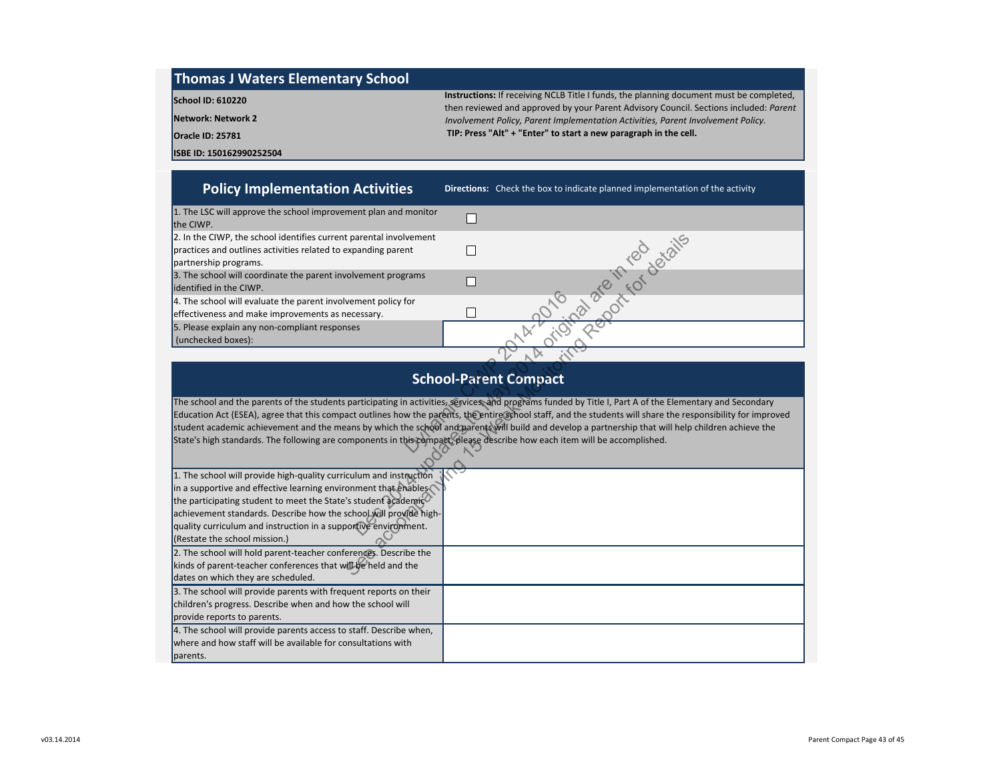#### **School ID: 610220**

**Network: Network 2** 

**Oracle ID: 25781**

**Instructions:** If receiving NCLB Title I funds, the planning document must be completed, then reviewed and approved by your Parent Advisory Council. Sections included: *Parent Involvement Policy, Parent Implementation Activities, Parent Involvement Policy.* TIP: Press "Alt" + "Enter" to start a new paragraph in the cell.

**ISBE ID: 150162990252504**

### **Policy Implementation Activities** Directions: Check the box to indicate planned implementation of the activity



### **School-Parent Compact**

The school and the parents of the students participating in activities, services, and programs funded by Title I, Part A of the Elementary and Secondary Education Act (ESEA), agree that this compact outlines how the parents, the entire school staff, and the students will share the responsibility for improved student academic achievement and the means by which the school and parents will build and develop a partnership that will help children achieve the State's high standards. The following are components in this compact, please describe how each item will be accomplished.

| 1. The school will provide high-quality curriculum and instruction        |  |
|---------------------------------------------------------------------------|--|
| in a supportive and effective learning environment that enables           |  |
| the participating student to meet the State's student academic $^{\circ}$ |  |
| achievement standards. Describe how the school will provide high-         |  |
| quality curriculum and instruction in a supportive environment.           |  |
| (Restate the school mission.)                                             |  |
| 2. The school will hold parent-teacher conferences. Describe the          |  |
| kinds of parent-teacher conferences that will be held and the             |  |
| dates on which they are scheduled.                                        |  |
| 3. The school will provide parents with frequent reports on their         |  |
| children's progress. Describe when and how the school will                |  |
| provide reports to parents.                                               |  |
| 4. The school will provide parents access to staff. Describe when,        |  |
| lwhere and how staff will be available for consultations with             |  |
| parents.                                                                  |  |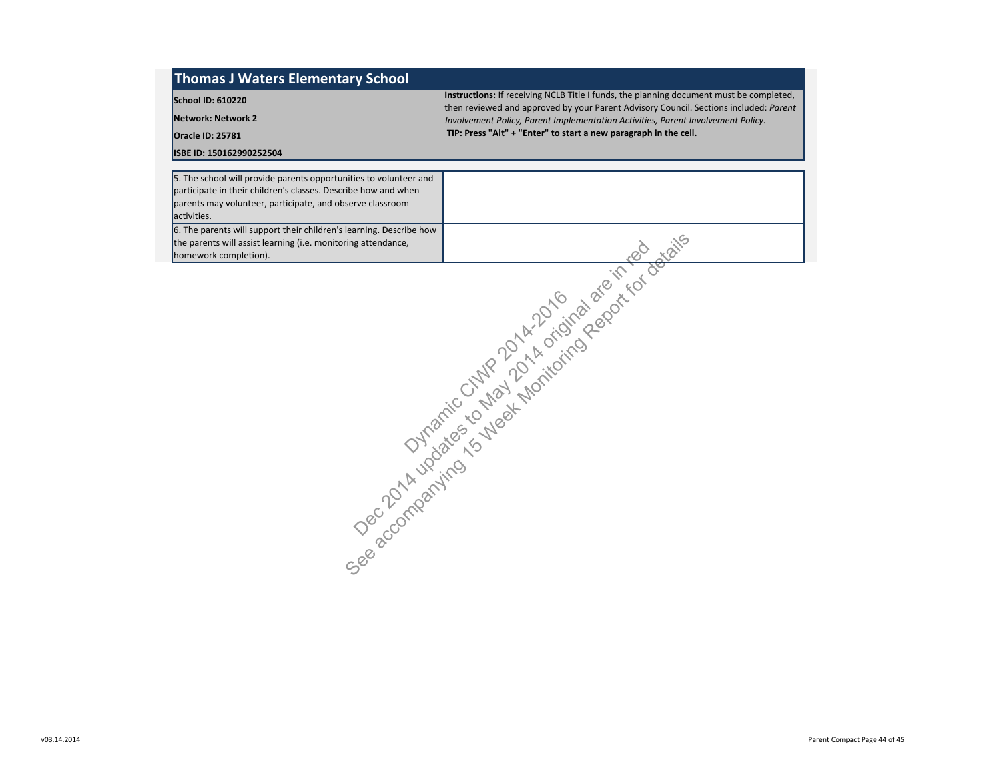### **School ID: 610220 Network: Network 2 Oracle ID: 25781 ISBE ID: 150162990252504 Thomas J Waters Elementary School Instructions:** If receiving NCLB Title I funds, the planning document must be completed, then reviewed and approved by your Parent Advisory Council. Sections included: Parent *Involvement Policy, Parent Implementation Activities, Parent Involvement Policy.* TIP: Press "Alt" + "Enter" to start a new paragraph in the cell. **5.** The school will provide parents opportunities to volunteer and participate in their children's classes. Describe how and when parents may volunteer, participate, and observe classroom activities. 6. The parents will support their children's learning. Describe how the parents will assist learning (i.e. monitoring attendance, homework completion).

Outpartic Cityle 2014-2016 Gee accompanying the Company of May 2015 or details